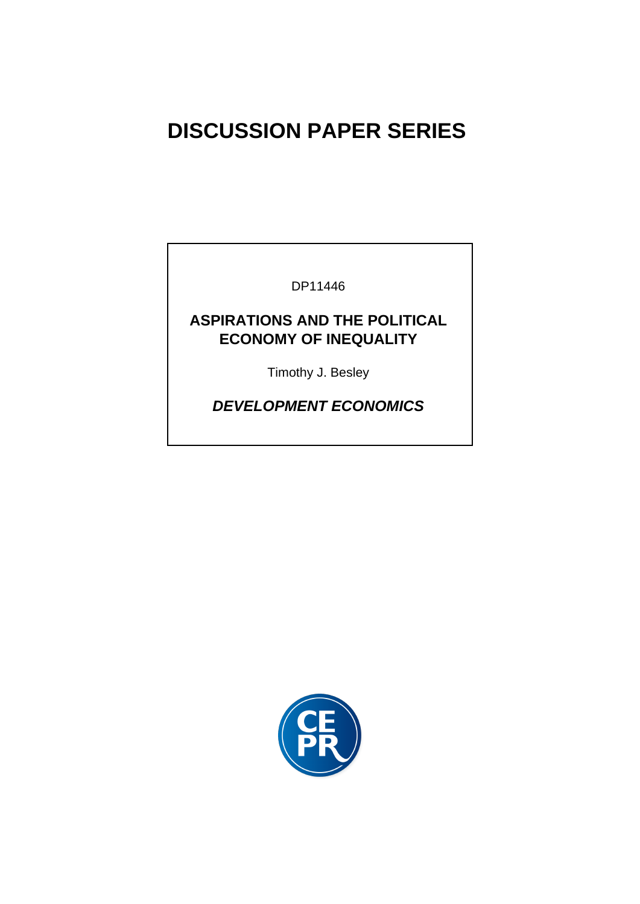# **DISCUSSION PAPER SERIES**

DP11446

## **ASPIRATIONS AND THE POLITICAL ECONOMY OF INEQUALITY**

Timothy J. Besley

**DEVELOPMENT ECONOMICS**

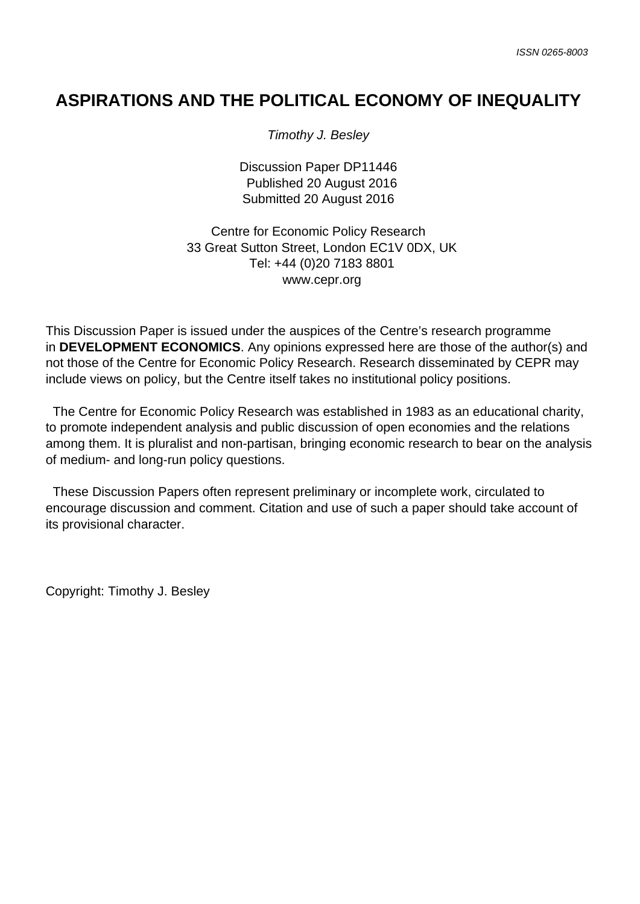# **ASPIRATIONS AND THE POLITICAL ECONOMY OF INEQUALITY**

Timothy J. Besley

Discussion Paper DP11446 Published 20 August 2016 Submitted 20 August 2016

Centre for Economic Policy Research 33 Great Sutton Street, London EC1V 0DX, UK Tel: +44 (0)20 7183 8801 www.cepr.org

This Discussion Paper is issued under the auspices of the Centre's research programme in **DEVELOPMENT ECONOMICS**. Any opinions expressed here are those of the author(s) and not those of the Centre for Economic Policy Research. Research disseminated by CEPR may include views on policy, but the Centre itself takes no institutional policy positions.

 The Centre for Economic Policy Research was established in 1983 as an educational charity, to promote independent analysis and public discussion of open economies and the relations among them. It is pluralist and non-partisan, bringing economic research to bear on the analysis of medium- and long-run policy questions.

 These Discussion Papers often represent preliminary or incomplete work, circulated to encourage discussion and comment. Citation and use of such a paper should take account of its provisional character.

Copyright: Timothy J. Besley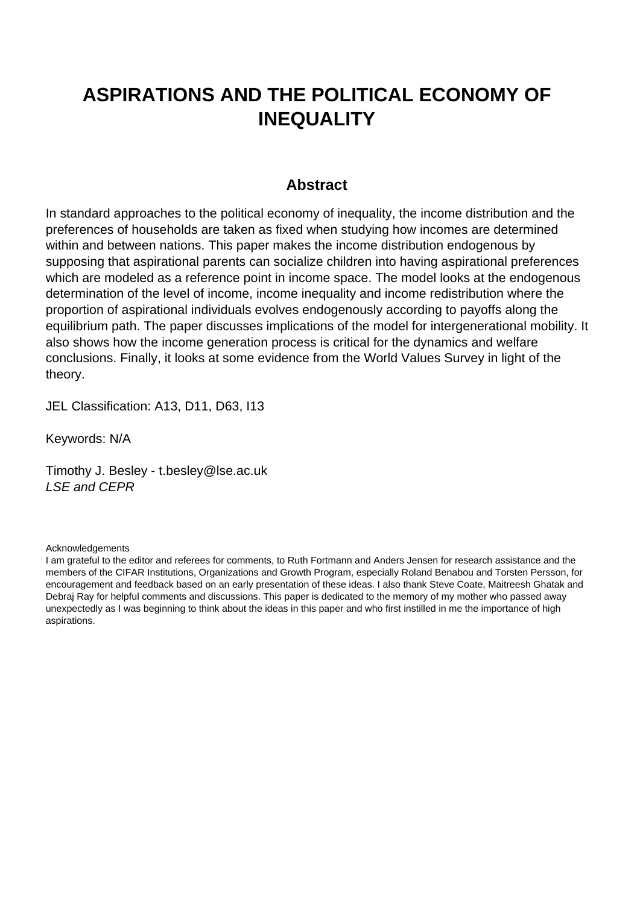# **ASPIRATIONS AND THE POLITICAL ECONOMY OF INEQUALITY**

## **Abstract**

In standard approaches to the political economy of inequality, the income distribution and the preferences of households are taken as fixed when studying how incomes are determined within and between nations. This paper makes the income distribution endogenous by supposing that aspirational parents can socialize children into having aspirational preferences which are modeled as a reference point in income space. The model looks at the endogenous determination of the level of income, income inequality and income redistribution where the proportion of aspirational individuals evolves endogenously according to payoffs along the equilibrium path. The paper discusses implications of the model for intergenerational mobility. It also shows how the income generation process is critical for the dynamics and welfare conclusions. Finally, it looks at some evidence from the World Values Survey in light of the theory.

JEL Classification: A13, D11, D63, I13

Keywords: N/A

Timothy J. Besley - t.besley@lse.ac.uk LSE and CEPR

Acknowledgements

I am grateful to the editor and referees for comments, to Ruth Fortmann and Anders Jensen for research assistance and the members of the CIFAR Institutions, Organizations and Growth Program, especially Roland Benabou and Torsten Persson, for encouragement and feedback based on an early presentation of these ideas. I also thank Steve Coate, Maitreesh Ghatak and Debraj Ray for helpful comments and discussions. This paper is dedicated to the memory of my mother who passed away unexpectedly as I was beginning to think about the ideas in this paper and who first instilled in me the importance of high aspirations.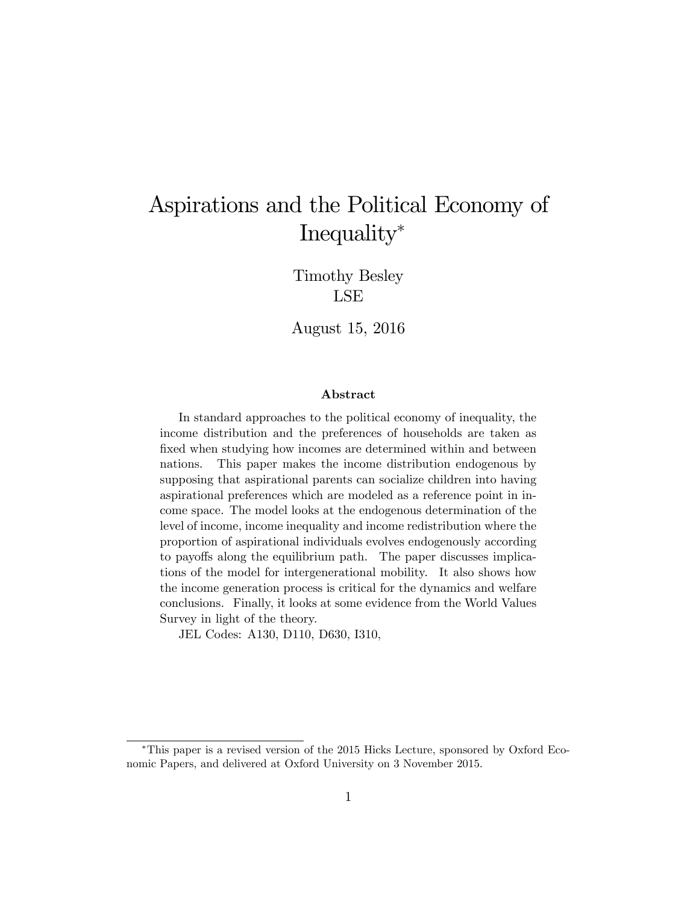# Aspirations and the Political Economy of Inequality

Timothy Besley LSE

August 15, 2016

#### Abstract

In standard approaches to the political economy of inequality, the income distribution and the preferences of households are taken as fixed when studying how incomes are determined within and between nations. This paper makes the income distribution endogenous by supposing that aspirational parents can socialize children into having aspirational preferences which are modeled as a reference point in income space. The model looks at the endogenous determination of the level of income, income inequality and income redistribution where the proportion of aspirational individuals evolves endogenously according to payoffs along the equilibrium path. The paper discusses implications of the model for intergenerational mobility. It also shows how the income generation process is critical for the dynamics and welfare conclusions. Finally, it looks at some evidence from the World Values Survey in light of the theory.

JEL Codes: A130, D110, D630, I310,

This paper is a revised version of the 2015 Hicks Lecture, sponsored by Oxford Economic Papers, and delivered at Oxford University on 3 November 2015.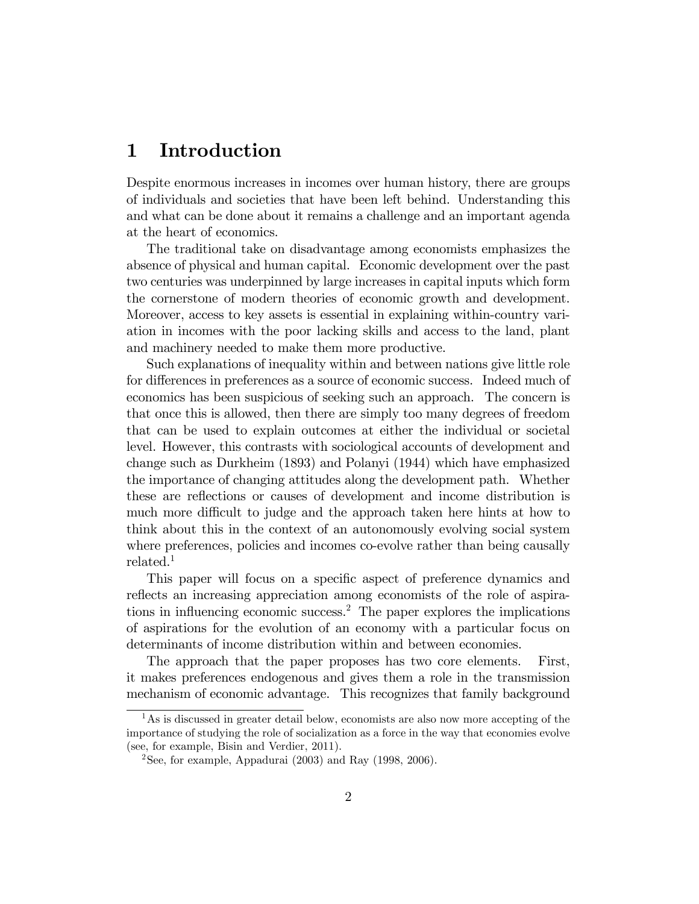## 1 Introduction

Despite enormous increases in incomes over human history, there are groups of individuals and societies that have been left behind. Understanding this and what can be done about it remains a challenge and an important agenda at the heart of economics.

The traditional take on disadvantage among economists emphasizes the absence of physical and human capital. Economic development over the past two centuries was underpinned by large increases in capital inputs which form the cornerstone of modern theories of economic growth and development. Moreover, access to key assets is essential in explaining within-country variation in incomes with the poor lacking skills and access to the land, plant and machinery needed to make them more productive.

Such explanations of inequality within and between nations give little role for differences in preferences as a source of economic success. Indeed much of economics has been suspicious of seeking such an approach. The concern is that once this is allowed, then there are simply too many degrees of freedom that can be used to explain outcomes at either the individual or societal level. However, this contrasts with sociological accounts of development and change such as Durkheim (1893) and Polanyi (1944) which have emphasized the importance of changing attitudes along the development path. Whether these are reflections or causes of development and income distribution is much more difficult to judge and the approach taken here hints at how to think about this in the context of an autonomously evolving social system where preferences, policies and incomes co-evolve rather than being causally related.<sup>1</sup>

This paper will focus on a specific aspect of preference dynamics and reflects an increasing appreciation among economists of the role of aspirations in influencing economic success.<sup>2</sup> The paper explores the implications of aspirations for the evolution of an economy with a particular focus on determinants of income distribution within and between economies.

The approach that the paper proposes has two core elements. First, it makes preferences endogenous and gives them a role in the transmission mechanism of economic advantage. This recognizes that family background

 $1<sup>1</sup>$ As is discussed in greater detail below, economists are also now more accepting of the importance of studying the role of socialization as a force in the way that economies evolve (see, for example, Bisin and Verdier, 2011).

<sup>&</sup>lt;sup>2</sup>See, for example, Appadurai  $(2003)$  and Ray  $(1998, 2006)$ .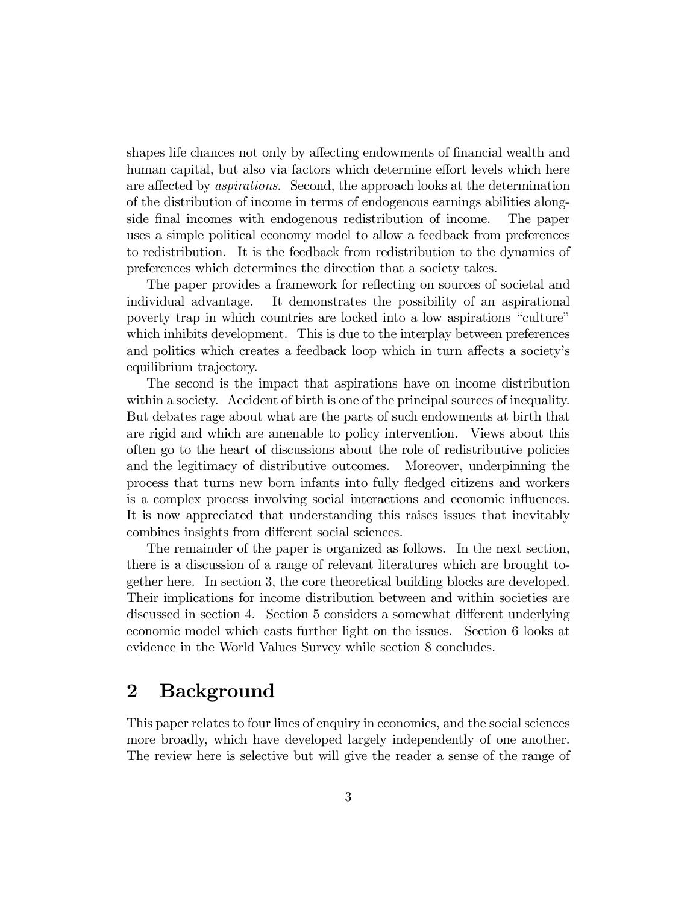shapes life chances not only by affecting endowments of financial wealth and human capital, but also via factors which determine effort levels which here are affected by *aspirations*. Second, the approach looks at the determination of the distribution of income in terms of endogenous earnings abilities alongside final incomes with endogenous redistribution of income. The paper uses a simple political economy model to allow a feedback from preferences to redistribution. It is the feedback from redistribution to the dynamics of preferences which determines the direction that a society takes.

The paper provides a framework for reflecting on sources of societal and individual advantage. It demonstrates the possibility of an aspirational poverty trap in which countries are locked into a low aspirations "culture" which inhibits development. This is due to the interplay between preferences and politics which creates a feedback loop which in turn affects a society's equilibrium trajectory.

The second is the impact that aspirations have on income distribution within a society. Accident of birth is one of the principal sources of inequality. But debates rage about what are the parts of such endowments at birth that are rigid and which are amenable to policy intervention. Views about this often go to the heart of discussions about the role of redistributive policies and the legitimacy of distributive outcomes. Moreover, underpinning the process that turns new born infants into fully fledged citizens and workers is a complex process involving social interactions and economic ináuences. It is now appreciated that understanding this raises issues that inevitably combines insights from different social sciences.

The remainder of the paper is organized as follows. In the next section, there is a discussion of a range of relevant literatures which are brought together here. In section 3, the core theoretical building blocks are developed. Their implications for income distribution between and within societies are discussed in section 4. Section 5 considers a somewhat different underlying economic model which casts further light on the issues. Section 6 looks at evidence in the World Values Survey while section 8 concludes.

## 2 Background

This paper relates to four lines of enquiry in economics, and the social sciences more broadly, which have developed largely independently of one another. The review here is selective but will give the reader a sense of the range of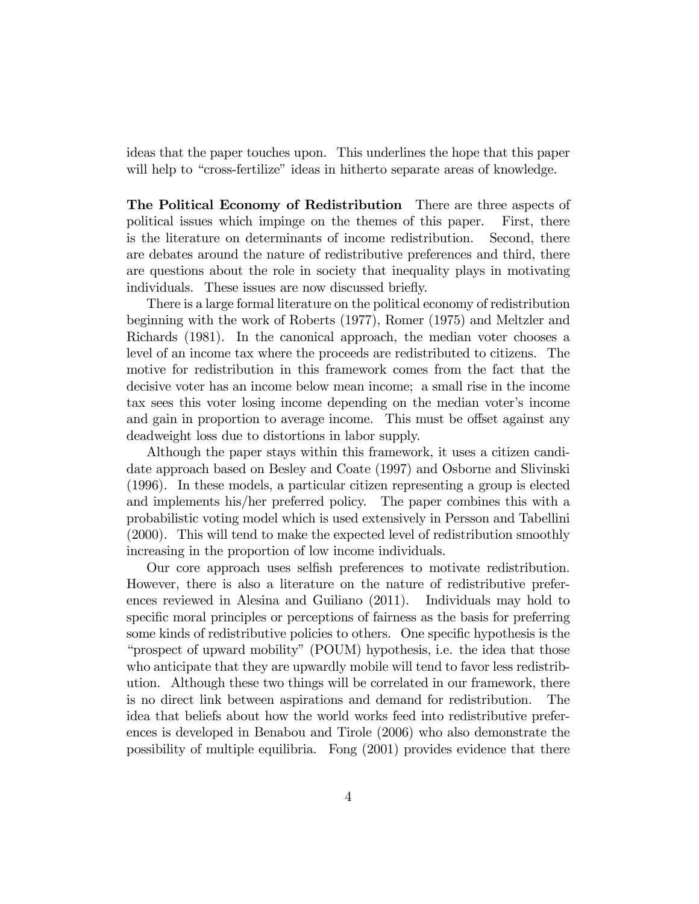ideas that the paper touches upon. This underlines the hope that this paper will help to "cross-fertilize" ideas in hitherto separate areas of knowledge.

The Political Economy of Redistribution There are three aspects of political issues which impinge on the themes of this paper. First, there is the literature on determinants of income redistribution. Second, there are debates around the nature of redistributive preferences and third, there are questions about the role in society that inequality plays in motivating individuals. These issues are now discussed briefly.

There is a large formal literature on the political economy of redistribution beginning with the work of Roberts (1977), Romer (1975) and Meltzler and Richards (1981). In the canonical approach, the median voter chooses a level of an income tax where the proceeds are redistributed to citizens. The motive for redistribution in this framework comes from the fact that the decisive voter has an income below mean income; a small rise in the income tax sees this voter losing income depending on the median voter's income and gain in proportion to average income. This must be offset against any deadweight loss due to distortions in labor supply.

Although the paper stays within this framework, it uses a citizen candidate approach based on Besley and Coate (1997) and Osborne and Slivinski (1996). In these models, a particular citizen representing a group is elected and implements his/her preferred policy. The paper combines this with a probabilistic voting model which is used extensively in Persson and Tabellini (2000). This will tend to make the expected level of redistribution smoothly increasing in the proportion of low income individuals.

Our core approach uses selfish preferences to motivate redistribution. However, there is also a literature on the nature of redistributive preferences reviewed in Alesina and Guiliano (2011). Individuals may hold to specific moral principles or perceptions of fairness as the basis for preferring some kinds of redistributive policies to others. One specific hypothesis is the ìprospect of upward mobilityî (POUM) hypothesis, i.e. the idea that those who anticipate that they are upwardly mobile will tend to favor less redistribution. Although these two things will be correlated in our framework, there is no direct link between aspirations and demand for redistribution. The idea that beliefs about how the world works feed into redistributive preferences is developed in Benabou and Tirole (2006) who also demonstrate the possibility of multiple equilibria. Fong (2001) provides evidence that there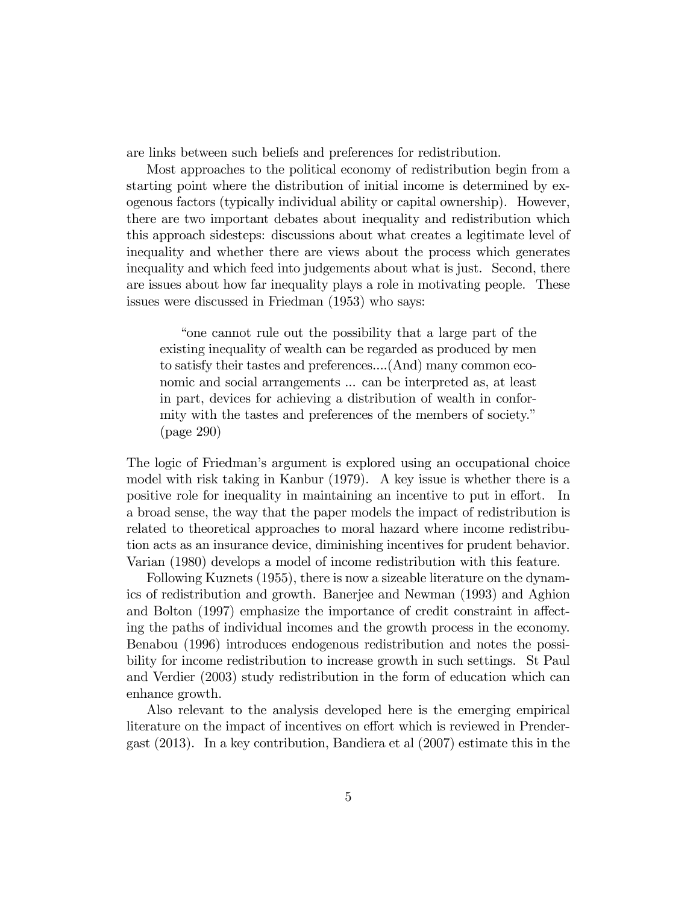are links between such beliefs and preferences for redistribution.

Most approaches to the political economy of redistribution begin from a starting point where the distribution of initial income is determined by exogenous factors (typically individual ability or capital ownership). However, there are two important debates about inequality and redistribution which this approach sidesteps: discussions about what creates a legitimate level of inequality and whether there are views about the process which generates inequality and which feed into judgements about what is just. Second, there are issues about how far inequality plays a role in motivating people. These issues were discussed in Friedman (1953) who says:

ìone cannot rule out the possibility that a large part of the existing inequality of wealth can be regarded as produced by men to satisfy their tastes and preferences....(And) many common economic and social arrangements ... can be interpreted as, at least in part, devices for achieving a distribution of wealth in conformity with the tastes and preferences of the members of society." (page 290)

The logic of Friedmanís argument is explored using an occupational choice model with risk taking in Kanbur (1979). A key issue is whether there is a positive role for inequality in maintaining an incentive to put in effort. In a broad sense, the way that the paper models the impact of redistribution is related to theoretical approaches to moral hazard where income redistribution acts as an insurance device, diminishing incentives for prudent behavior. Varian (1980) develops a model of income redistribution with this feature.

Following Kuznets (1955), there is now a sizeable literature on the dynamics of redistribution and growth. Banerjee and Newman (1993) and Aghion and Bolton  $(1997)$  emphasize the importance of credit constraint in affecting the paths of individual incomes and the growth process in the economy. Benabou (1996) introduces endogenous redistribution and notes the possibility for income redistribution to increase growth in such settings. St Paul and Verdier (2003) study redistribution in the form of education which can enhance growth.

Also relevant to the analysis developed here is the emerging empirical literature on the impact of incentives on effort which is reviewed in Prendergast (2013). In a key contribution, Bandiera et al (2007) estimate this in the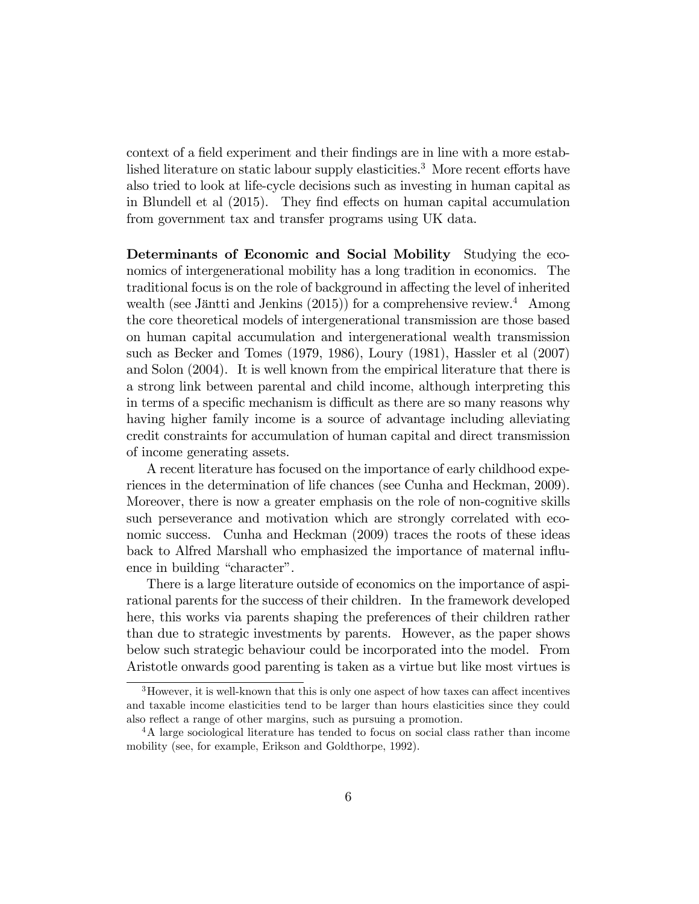context of a field experiment and their findings are in line with a more established literature on static labour supply elasticities.<sup>3</sup> More recent efforts have also tried to look at life-cycle decisions such as investing in human capital as in Blundell et al (2015). They find effects on human capital accumulation from government tax and transfer programs using UK data.

Determinants of Economic and Social Mobility Studying the economics of intergenerational mobility has a long tradition in economics. The traditional focus is on the role of background in affecting the level of inherited wealth (see Jäntti and Jenkins  $(2015)$ ) for a comprehensive review.<sup>4</sup> Among the core theoretical models of intergenerational transmission are those based on human capital accumulation and intergenerational wealth transmission such as Becker and Tomes (1979, 1986), Loury (1981), Hassler et al (2007) and Solon (2004). It is well known from the empirical literature that there is a strong link between parental and child income, although interpreting this in terms of a specific mechanism is difficult as there are so many reasons why having higher family income is a source of advantage including alleviating credit constraints for accumulation of human capital and direct transmission of income generating assets.

A recent literature has focused on the importance of early childhood experiences in the determination of life chances (see Cunha and Heckman, 2009). Moreover, there is now a greater emphasis on the role of non-cognitive skills such perseverance and motivation which are strongly correlated with economic success. Cunha and Heckman (2009) traces the roots of these ideas back to Alfred Marshall who emphasized the importance of maternal ináuence in building "character".

There is a large literature outside of economics on the importance of aspirational parents for the success of their children. In the framework developed here, this works via parents shaping the preferences of their children rather than due to strategic investments by parents. However, as the paper shows below such strategic behaviour could be incorporated into the model. From Aristotle onwards good parenting is taken as a virtue but like most virtues is

 $3$ However, it is well-known that this is only one aspect of how taxes can affect incentives and taxable income elasticities tend to be larger than hours elasticities since they could also reflect a range of other margins, such as pursuing a promotion.

<sup>&</sup>lt;sup>4</sup>A large sociological literature has tended to focus on social class rather than income mobility (see, for example, Erikson and Goldthorpe, 1992).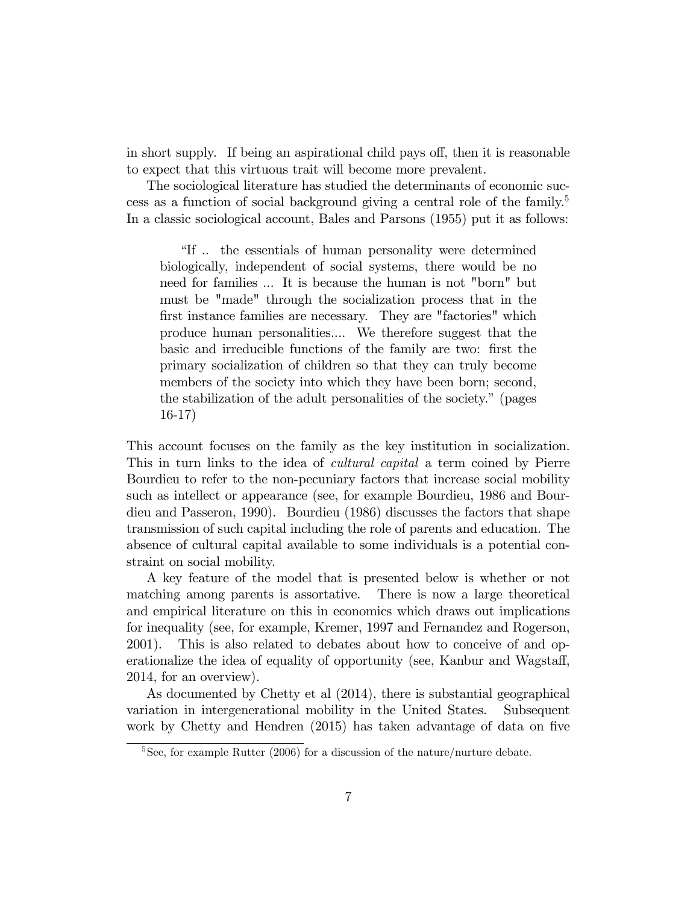in short supply. If being an aspirational child pays off, then it is reasonable to expect that this virtuous trait will become more prevalent.

The sociological literature has studied the determinants of economic success as a function of social background giving a central role of the family.<sup>5</sup> In a classic sociological account, Bales and Parsons (1955) put it as follows:

ìIf .. the essentials of human personality were determined biologically, independent of social systems, there would be no need for families ... It is because the human is not "born" but must be "made" through the socialization process that in the first instance families are necessary. They are "factories" which produce human personalities.... We therefore suggest that the basic and irreducible functions of the family are two: first the primary socialization of children so that they can truly become members of the society into which they have been born; second, the stabilization of the adult personalities of the society." (pages 16-17)

This account focuses on the family as the key institution in socialization. This in turn links to the idea of *cultural capital* a term coined by Pierre Bourdieu to refer to the non-pecuniary factors that increase social mobility such as intellect or appearance (see, for example Bourdieu, 1986 and Bourdieu and Passeron, 1990). Bourdieu (1986) discusses the factors that shape transmission of such capital including the role of parents and education. The absence of cultural capital available to some individuals is a potential constraint on social mobility.

A key feature of the model that is presented below is whether or not matching among parents is assortative. There is now a large theoretical and empirical literature on this in economics which draws out implications for inequality (see, for example, Kremer, 1997 and Fernandez and Rogerson, 2001). This is also related to debates about how to conceive of and operationalize the idea of equality of opportunity (see, Kanbur and Wagstaff, 2014, for an overview).

As documented by Chetty et al (2014), there is substantial geographical variation in intergenerational mobility in the United States. Subsequent work by Chetty and Hendren (2015) has taken advantage of data on five

 $5$ See, for example Rutter (2006) for a discussion of the nature/nurture debate.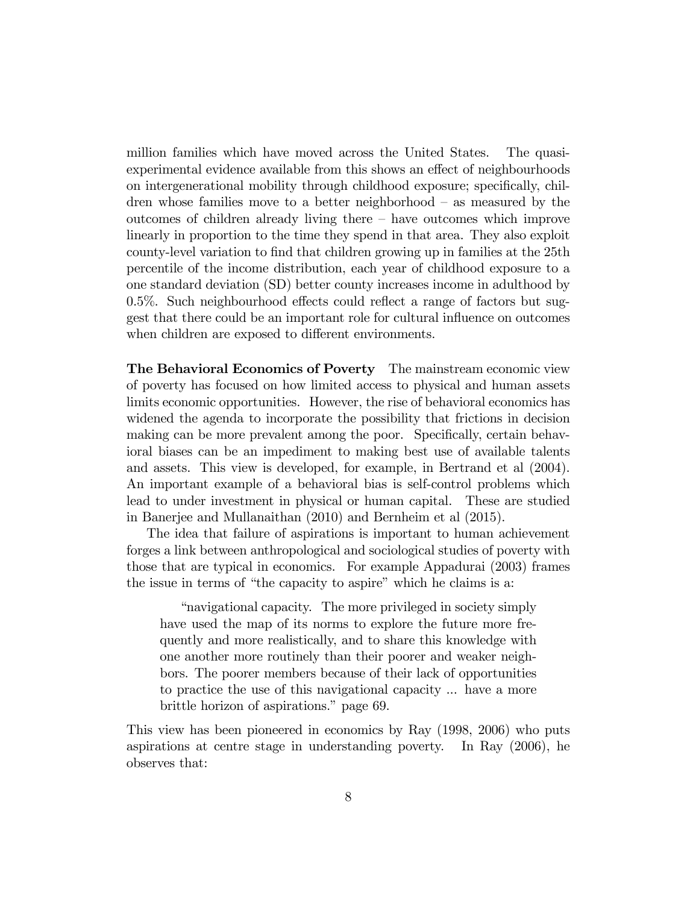million families which have moved across the United States. The quasiexperimental evidence available from this shows an effect of neighbourhoods on intergenerational mobility through childhood exposure; specifically, children whose families move to a better neighborhood  $-$  as measured by the outcomes of children already living there  $-\;$  have outcomes which improve linearly in proportion to the time they spend in that area. They also exploit county-level variation to Önd that children growing up in families at the 25th percentile of the income distribution, each year of childhood exposure to a one standard deviation (SD) better county increases income in adulthood by  $0.5\%$ . Such neighbourhood effects could reflect a range of factors but suggest that there could be an important role for cultural influence on outcomes when children are exposed to different environments.

The Behavioral Economics of Poverty The mainstream economic view of poverty has focused on how limited access to physical and human assets limits economic opportunities. However, the rise of behavioral economics has widened the agenda to incorporate the possibility that frictions in decision making can be more prevalent among the poor. Specifically, certain behavioral biases can be an impediment to making best use of available talents and assets. This view is developed, for example, in Bertrand et al (2004). An important example of a behavioral bias is self-control problems which lead to under investment in physical or human capital. These are studied in Banerjee and Mullanaithan (2010) and Bernheim et al (2015).

The idea that failure of aspirations is important to human achievement forges a link between anthropological and sociological studies of poverty with those that are typical in economics. For example Appadurai (2003) frames the issue in terms of "the capacity to aspire" which he claims is a:

"navigational capacity. The more privileged in society simply have used the map of its norms to explore the future more frequently and more realistically, and to share this knowledge with one another more routinely than their poorer and weaker neighbors. The poorer members because of their lack of opportunities to practice the use of this navigational capacity ... have a more brittle horizon of aspirations." page 69.

This view has been pioneered in economics by Ray (1998, 2006) who puts aspirations at centre stage in understanding poverty. In Ray (2006), he observes that: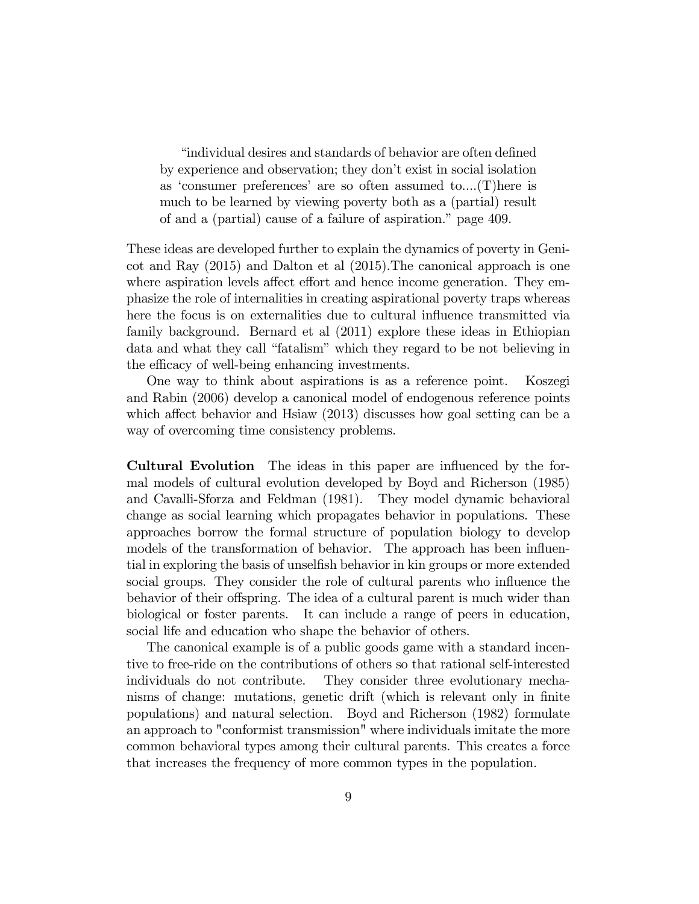individual desires and standards of behavior are often defined by experience and observation; they don't exist in social isolation as 'consumer preferences' are so often assumed to....(T)here is much to be learned by viewing poverty both as a (partial) result of and a (partial) cause of a failure of aspiration." page 409.

These ideas are developed further to explain the dynamics of poverty in Genicot and Ray (2015) and Dalton et al (2015).The canonical approach is one where aspiration levels affect effort and hence income generation. They emphasize the role of internalities in creating aspirational poverty traps whereas here the focus is on externalities due to cultural influence transmitted via family background. Bernard et al (2011) explore these ideas in Ethiopian data and what they call "fatalism" which they regard to be not believing in the efficacy of well-being enhancing investments.

One way to think about aspirations is as a reference point. Koszegi and Rabin (2006) develop a canonical model of endogenous reference points which affect behavior and Hsiaw  $(2013)$  discusses how goal setting can be a way of overcoming time consistency problems.

Cultural Evolution The ideas in this paper are influenced by the formal models of cultural evolution developed by Boyd and Richerson (1985) and Cavalli-Sforza and Feldman (1981). They model dynamic behavioral change as social learning which propagates behavior in populations. These approaches borrow the formal structure of population biology to develop models of the transformation of behavior. The approach has been influential in exploring the basis of unselfish behavior in kin groups or more extended social groups. They consider the role of cultural parents who influence the behavior of their offspring. The idea of a cultural parent is much wider than biological or foster parents. It can include a range of peers in education, social life and education who shape the behavior of others.

The canonical example is of a public goods game with a standard incentive to free-ride on the contributions of others so that rational self-interested individuals do not contribute. They consider three evolutionary mechanisms of change: mutations, genetic drift (which is relevant only in finite populations) and natural selection. Boyd and Richerson (1982) formulate an approach to "conformist transmission" where individuals imitate the more common behavioral types among their cultural parents. This creates a force that increases the frequency of more common types in the population.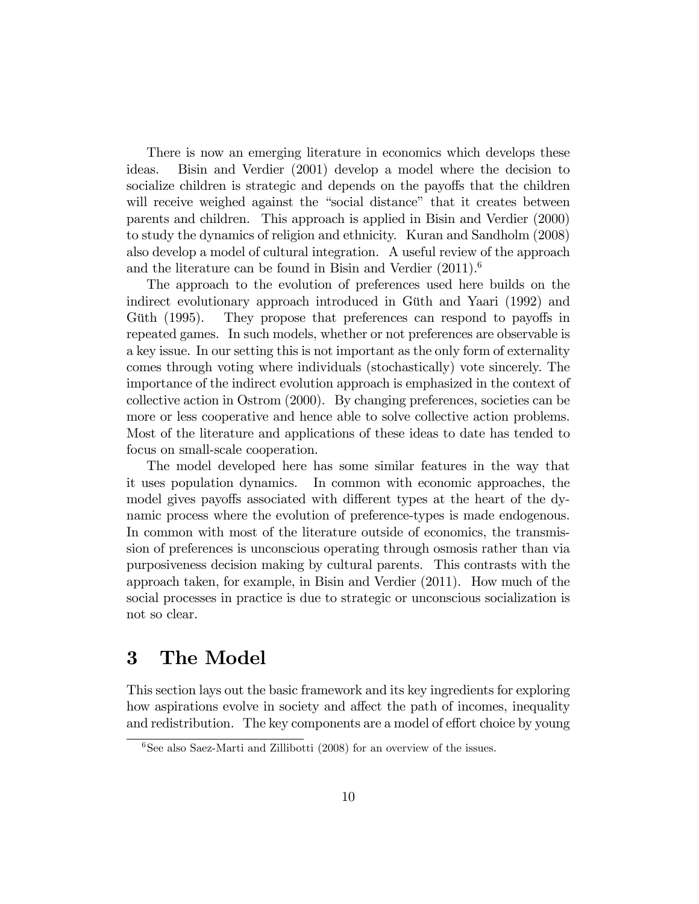There is now an emerging literature in economics which develops these ideas. Bisin and Verdier (2001) develop a model where the decision to socialize children is strategic and depends on the payoffs that the children will receive weighed against the "social distance" that it creates between parents and children. This approach is applied in Bisin and Verdier (2000) to study the dynamics of religion and ethnicity. Kuran and Sandholm (2008) also develop a model of cultural integration. A useful review of the approach and the literature can be found in Bisin and Verdier  $(2011).<sup>6</sup>$ 

The approach to the evolution of preferences used here builds on the indirect evolutionary approach introduced in Güth and Yaari (1992) and Güth (1995). They propose that preferences can respond to payoffs in repeated games. In such models, whether or not preferences are observable is a key issue. In our setting this is not important as the only form of externality comes through voting where individuals (stochastically) vote sincerely. The importance of the indirect evolution approach is emphasized in the context of collective action in Ostrom (2000). By changing preferences, societies can be more or less cooperative and hence able to solve collective action problems. Most of the literature and applications of these ideas to date has tended to focus on small-scale cooperation.

The model developed here has some similar features in the way that it uses population dynamics. In common with economic approaches, the model gives payoffs associated with different types at the heart of the dynamic process where the evolution of preference-types is made endogenous. In common with most of the literature outside of economics, the transmission of preferences is unconscious operating through osmosis rather than via purposiveness decision making by cultural parents. This contrasts with the approach taken, for example, in Bisin and Verdier (2011). How much of the social processes in practice is due to strategic or unconscious socialization is not so clear.

## 3 The Model

This section lays out the basic framework and its key ingredients for exploring how aspirations evolve in society and affect the path of incomes, inequality and redistribution. The key components are a model of effort choice by young

 ${}^{6}$ See also Saez-Marti and Zillibotti (2008) for an overview of the issues.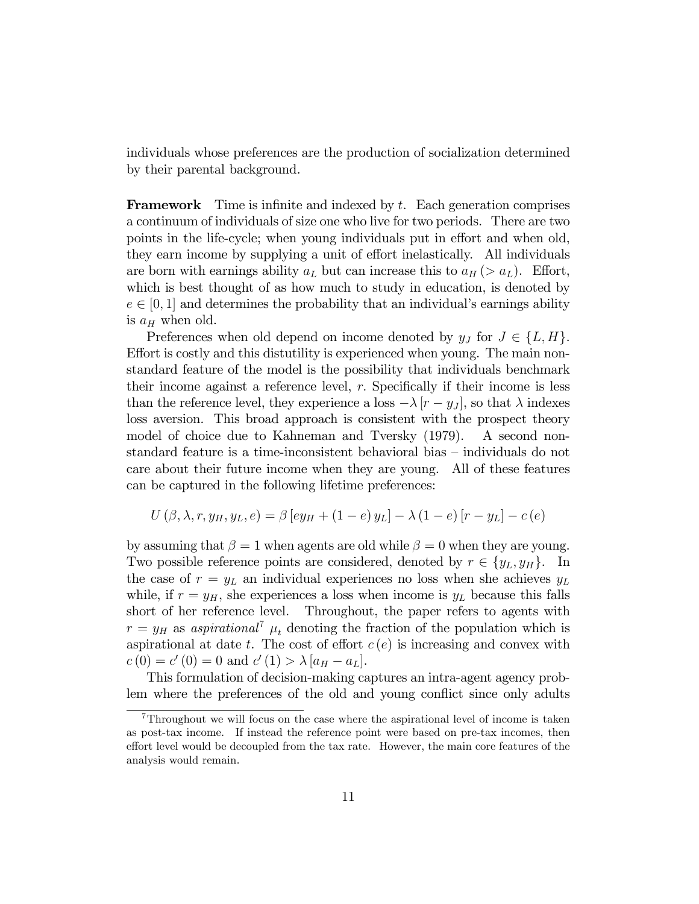individuals whose preferences are the production of socialization determined by their parental background.

**Framework** Time is infinite and indexed by  $t$ . Each generation comprises a continuum of individuals of size one who live for two periods. There are two points in the life-cycle; when young individuals put in effort and when old, they earn income by supplying a unit of effort inelastically. All individuals are born with earnings ability  $a_L$  but can increase this to  $a_H$  (>  $a_L$ ). Effort, which is best thought of as how much to study in education, is denoted by  $e \in [0, 1]$  and determines the probability that an individual's earnings ability is  $a_H$  when old.

Preferences when old depend on income denoted by  $y_J$  for  $J \in \{L, H\}.$ Effort is costly and this distutility is experienced when young. The main nonstandard feature of the model is the possibility that individuals benchmark their income against a reference level,  $r$ . Specifically if their income is less than the reference level, they experience a loss  $-\lambda |r - y_J|$ , so that  $\lambda$  indexes loss aversion. This broad approach is consistent with the prospect theory model of choice due to Kahneman and Tversky (1979). A second nonstandard feature is a time-inconsistent behavioral bias – individuals do not care about their future income when they are young. All of these features can be captured in the following lifetime preferences:

$$
U(\beta, \lambda, r, y_H, y_L, e) = \beta [ey_H + (1 - e) y_L] - \lambda (1 - e) [r - y_L] - c (e)
$$

by assuming that  $\beta = 1$  when agents are old while  $\beta = 0$  when they are young. Two possible reference points are considered, denoted by  $r \in \{y_L, y_H\}$ . In the case of  $r = y_L$  an individual experiences no loss when she achieves  $y_L$ while, if  $r = y_H$ , she experiences a loss when income is  $y_L$  because this falls short of her reference level. Throughout, the paper refers to agents with  $r = y_H$  as aspirational<sup>7</sup>  $\mu_t$  denoting the fraction of the population which is aspirational at date t. The cost of effort  $c(e)$  is increasing and convex with  $c(0) = c'(0) = 0$  and  $c'(1) > \lambda [a_H - a_L].$ 

This formulation of decision-making captures an intra-agent agency problem where the preferences of the old and young conflict since only adults

<sup>&</sup>lt;sup>7</sup>Throughout we will focus on the case where the aspirational level of income is taken as post-tax income. If instead the reference point were based on pre-tax incomes, then effort level would be decoupled from the tax rate. However, the main core features of the analysis would remain.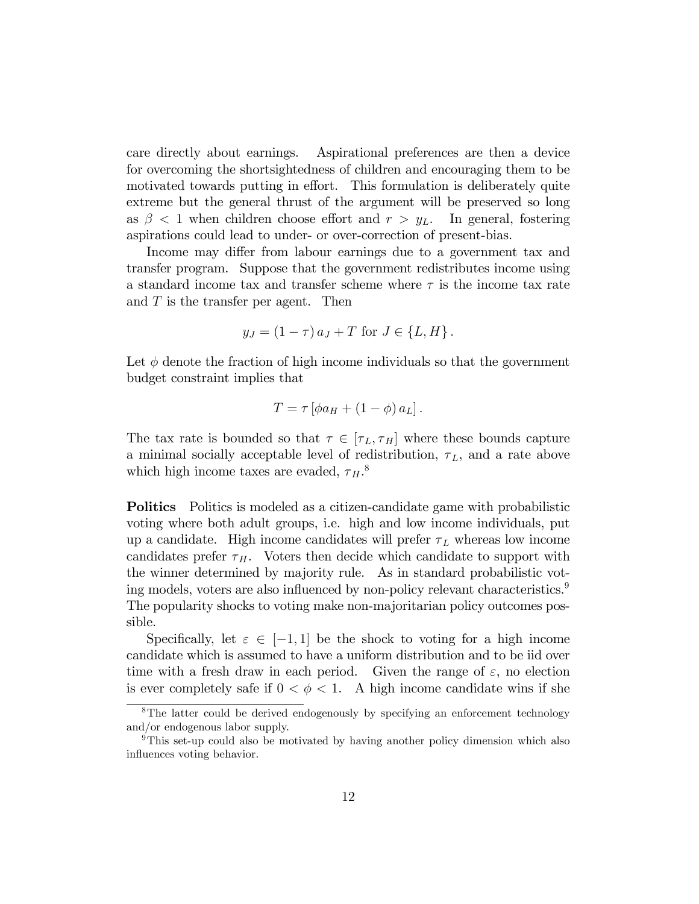care directly about earnings. Aspirational preferences are then a device for overcoming the shortsightedness of children and encouraging them to be motivated towards putting in effort. This formulation is deliberately quite extreme but the general thrust of the argument will be preserved so long as  $\beta$  < 1 when children choose effort and  $r > y_L$ . In general, fostering aspirations could lead to under- or over-correction of present-bias.

Income may differ from labour earnings due to a government tax and transfer program. Suppose that the government redistributes income using a standard income tax and transfer scheme where  $\tau$  is the income tax rate and  $T$  is the transfer per agent. Then

$$
y_J = (1 - \tau) a_J + T
$$
 for  $J \in \{L, H\}$ .

Let  $\phi$  denote the fraction of high income individuals so that the government budget constraint implies that

$$
T = \tau \left[ \phi a_H + (1 - \phi) a_L \right].
$$

The tax rate is bounded so that  $\tau \in [\tau_L, \tau_H]$  where these bounds capture a minimal socially acceptable level of redistribution,  $\tau_L$ , and a rate above which high income taxes are evaded,  $\tau_H$ <sup>8</sup>.

Politics Politics is modeled as a citizen-candidate game with probabilistic voting where both adult groups, i.e. high and low income individuals, put up a candidate. High income candidates will prefer  $\tau_L$  whereas low income candidates prefer  $\tau_H$ . Voters then decide which candidate to support with the winner determined by majority rule. As in standard probabilistic voting models, voters are also influenced by non-policy relevant characteristics.<sup>9</sup> The popularity shocks to voting make non-majoritarian policy outcomes possible.

Specifically, let  $\varepsilon \in [-1, 1]$  be the shock to voting for a high income candidate which is assumed to have a uniform distribution and to be iid over time with a fresh draw in each period. Given the range of  $\varepsilon$ , no election is ever completely safe if  $0 < \phi < 1$ . A high income candidate wins if she

<sup>8</sup>The latter could be derived endogenously by specifying an enforcement technology and/or endogenous labor supply.

<sup>&</sup>lt;sup>9</sup>This set-up could also be motivated by having another policy dimension which also influences voting behavior.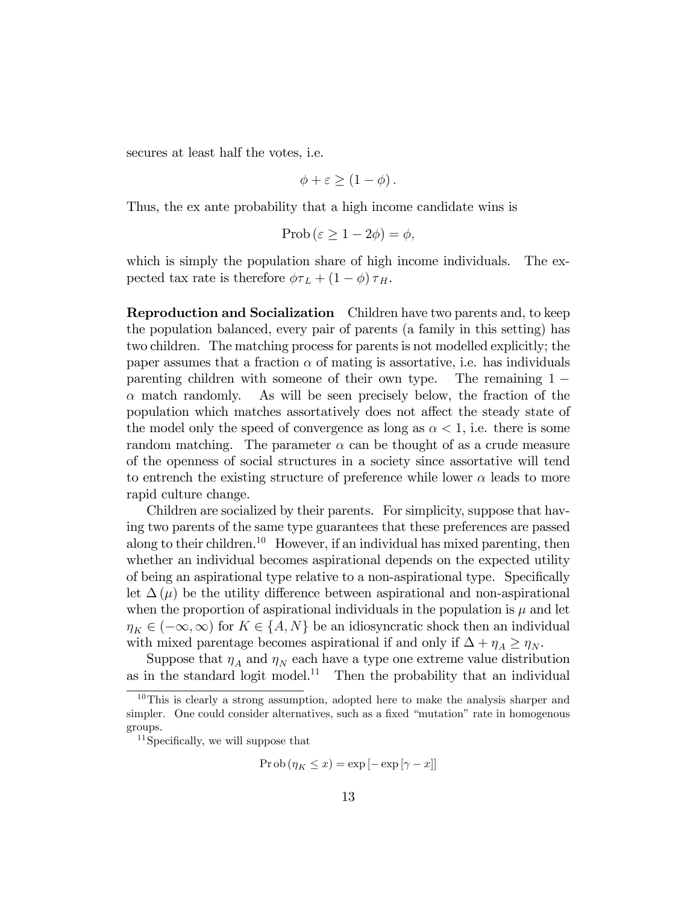secures at least half the votes, i.e.

$$
\phi + \varepsilon \ge (1 - \phi).
$$

Thus, the ex ante probability that a high income candidate wins is

$$
\text{Prob}\left(\varepsilon \geq 1 - 2\phi\right) = \phi,
$$

which is simply the population share of high income individuals. The expected tax rate is therefore  $\phi \tau_L + (1 - \phi) \tau_H$ .

Reproduction and Socialization Children have two parents and, to keep the population balanced, every pair of parents (a family in this setting) has two children. The matching process for parents is not modelled explicitly; the paper assumes that a fraction  $\alpha$  of mating is assortative, i.e. has individuals parenting children with someone of their own type. The remaining  $1 - \alpha$  match randomly. As will be seen precisely below, the fraction of the As will be seen precisely below, the fraction of the population which matches assortatively does not affect the steady state of the model only the speed of convergence as long as  $\alpha < 1$ , i.e. there is some random matching. The parameter  $\alpha$  can be thought of as a crude measure of the openness of social structures in a society since assortative will tend to entrench the existing structure of preference while lower  $\alpha$  leads to more rapid culture change.

Children are socialized by their parents. For simplicity, suppose that having two parents of the same type guarantees that these preferences are passed along to their children.<sup>10</sup> However, if an individual has mixed parenting, then whether an individual becomes aspirational depends on the expected utility of being an aspirational type relative to a non-aspirational type. Specifically let  $\Delta(\mu)$  be the utility difference between aspirational and non-aspirational when the proportion of aspirational individuals in the population is  $\mu$  and let  $\eta_K \in (-\infty,\infty)$  for  $K \in \{A,N\}$  be an idiosyncratic shock then an individual with mixed parentage becomes aspirational if and only if  $\Delta + \eta_A \ge \eta_N$ .

Suppose that  $\eta_A$  and  $\eta_N$  each have a type one extreme value distribution as in the standard logit model.<sup>11</sup> Then the probability that an individual

$$
\Pr{\text{ob}\left(\eta_K \le x\right)} = \exp\left[-\exp\left[\gamma - x\right]\right]
$$

<sup>&</sup>lt;sup>10</sup>This is clearly a strong assumption, adopted here to make the analysis sharper and simpler. One could consider alternatives, such as a fixed "mutation" rate in homogenous groups.

 $11$ Specifically, we will suppose that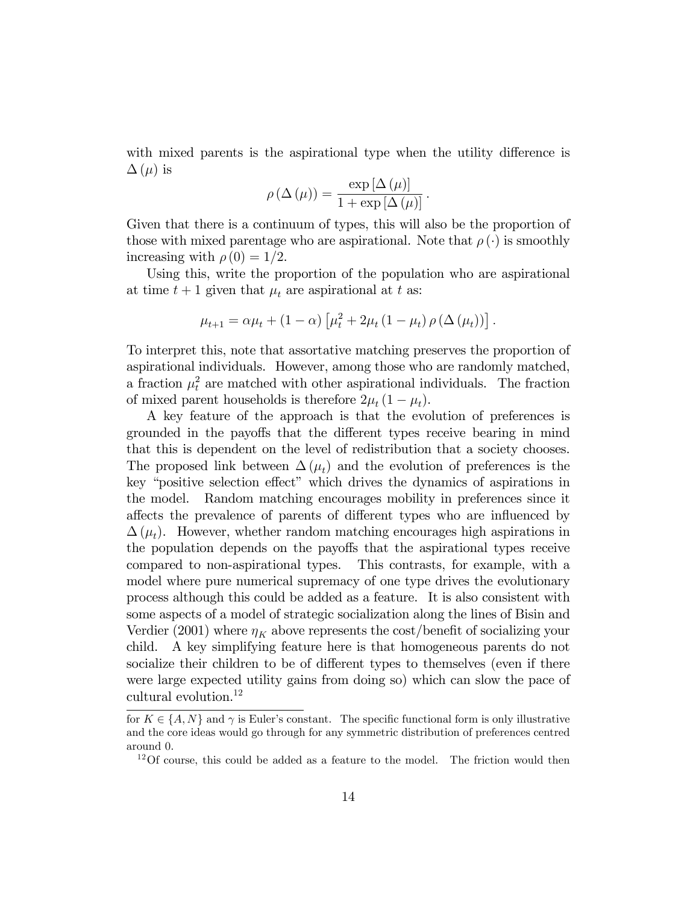with mixed parents is the aspirational type when the utility difference is  $\Delta(\mu)$  is

$$
\rho\left(\Delta\left(\mu\right)\right) = \frac{\exp\left[\Delta\left(\mu\right)\right]}{1 + \exp\left[\Delta\left(\mu\right)\right]}.
$$

Given that there is a continuum of types, this will also be the proportion of those with mixed parentage who are aspirational. Note that  $\rho(\cdot)$  is smoothly increasing with  $\rho(0) = 1/2$ .

Using this, write the proportion of the population who are aspirational at time  $t + 1$  given that  $\mu_t$  are aspirational at t as:

$$
\mu_{t+1} = \alpha \mu_t + (1 - \alpha) \left[ \mu_t^2 + 2\mu_t (1 - \mu_t) \rho \left( \Delta \left( \mu_t \right) \right) \right].
$$

To interpret this, note that assortative matching preserves the proportion of aspirational individuals. However, among those who are randomly matched, a fraction  $\mu_t^2$  are matched with other aspirational individuals. The fraction of mixed parent households is therefore  $2\mu_t (1 - \mu_t)$ .

A key feature of the approach is that the evolution of preferences is grounded in the payoffs that the different types receive bearing in mind that this is dependent on the level of redistribution that a society chooses. The proposed link between  $\Delta(\mu_t)$  and the evolution of preferences is the key "positive selection effect" which drives the dynamics of aspirations in the model. Random matching encourages mobility in preferences since it affects the prevalence of parents of different types who are influenced by  $\Delta(\mu_t)$ . However, whether random matching encourages high aspirations in the population depends on the payoffs that the aspirational types receive compared to non-aspirational types. This contrasts, for example, with a model where pure numerical supremacy of one type drives the evolutionary process although this could be added as a feature. It is also consistent with some aspects of a model of strategic socialization along the lines of Bisin and Verdier (2001) where  $\eta_K$  above represents the cost/benefit of socializing your child. A key simplifying feature here is that homogeneous parents do not socialize their children to be of different types to themselves (even if there were large expected utility gains from doing so) which can slow the pace of cultural evolution.<sup>12</sup>

for  $K \in \{A, N\}$  and  $\gamma$  is Euler's constant. The specific functional form is only illustrative and the core ideas would go through for any symmetric distribution of preferences centred around 0.

<sup>12</sup>Of course, this could be added as a feature to the model. The friction would then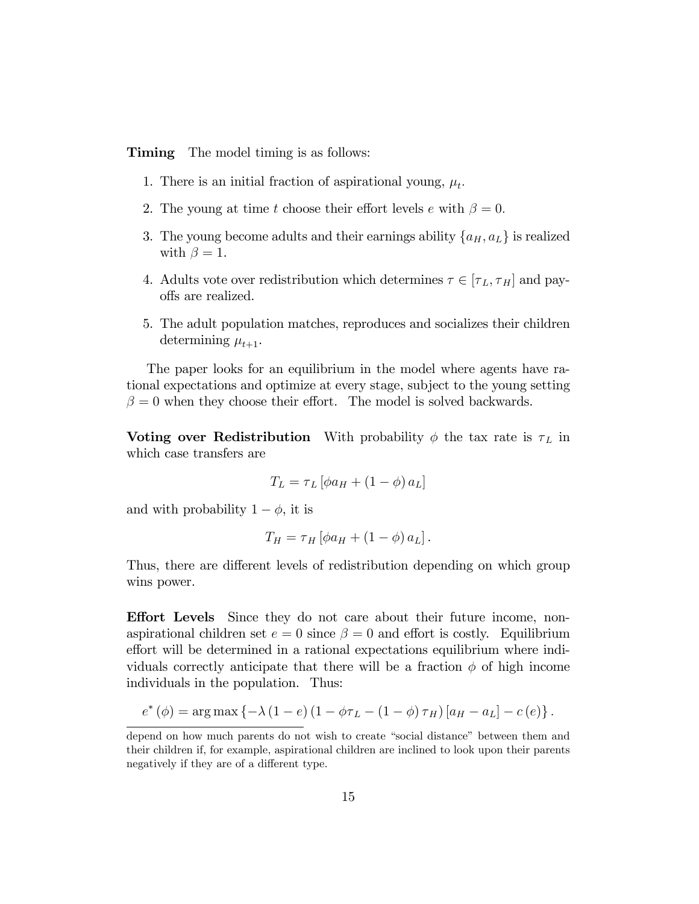Timing The model timing is as follows:

- 1. There is an initial fraction of aspirational young,  $\mu_t$ .
- 2. The young at time t choose their effort levels e with  $\beta = 0$ .
- 3. The young become adults and their earnings ability  $\{a_H, a_L\}$  is realized with  $\beta = 1$ .
- 4. Adults vote over redistribution which determines  $\tau \in [\tau_L, \tau_H]$  and payoffs are realized.
- 5. The adult population matches, reproduces and socializes their children determining  $\mu_{t+1}$ .

The paper looks for an equilibrium in the model where agents have rational expectations and optimize at every stage, subject to the young setting  $\beta = 0$  when they choose their effort. The model is solved backwards.

Voting over Redistribution With probability  $\phi$  the tax rate is  $\tau_L$  in which case transfers are

$$
T_L = \tau_L \left[ \phi a_H + (1 - \phi) a_L \right]
$$

and with probability  $1 - \phi$ , it is

$$
T_H = \tau_H \left[ \phi a_H + (1 - \phi) a_L \right].
$$

Thus, there are different levels of redistribution depending on which group wins power.

**Effort Levels** Since they do not care about their future income, nonaspirational children set  $e = 0$  since  $\beta = 0$  and effort is costly. Equilibrium effort will be determined in a rational expectations equilibrium where individuals correctly anticipate that there will be a fraction  $\phi$  of high income individuals in the population. Thus:

$$
e^*(\phi) = \arg \max \{-\lambda (1 - e) (1 - \phi \tau_L - (1 - \phi) \tau_H) [a_H - a_L] - c(e)\}.
$$

depend on how much parents do not wish to create "social distance" between them and their children if, for example, aspirational children are inclined to look upon their parents negatively if they are of a different type.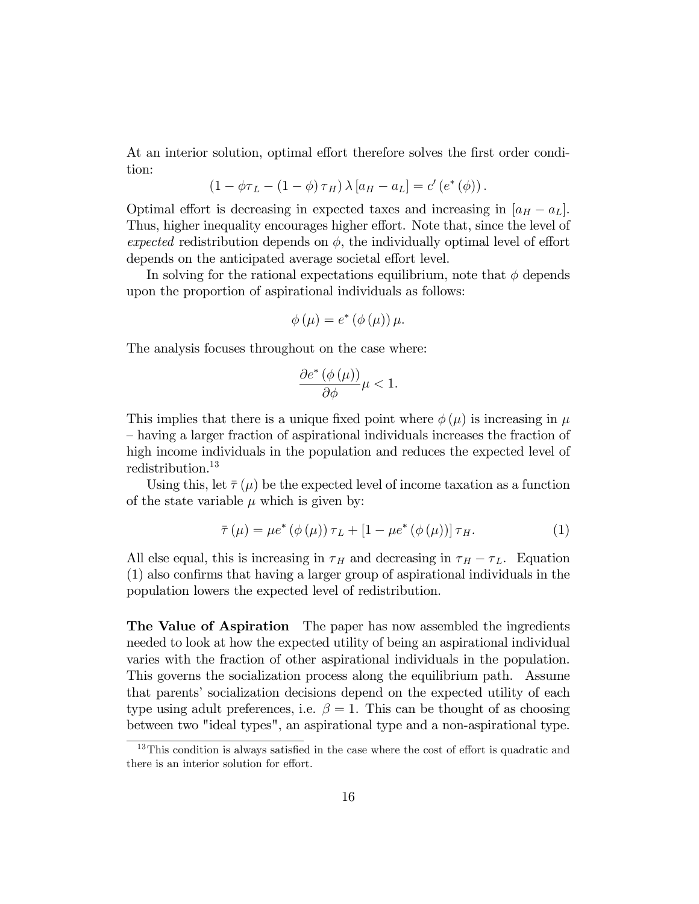At an interior solution, optimal effort therefore solves the first order condition:

$$
(1 - \phi \tau_L - (1 - \phi) \tau_H) \lambda [a_H - a_L] = c' (e^*(\phi)).
$$

Optimal effort is decreasing in expected taxes and increasing in  $[a_H - a_L]$ . Thus, higher inequality encourages higher effort. Note that, since the level of expected redistribution depends on  $\phi$ , the individually optimal level of effort depends on the anticipated average societal effort level.

In solving for the rational expectations equilibrium, note that  $\phi$  depends upon the proportion of aspirational individuals as follows:

$$
\phi(\mu) = e^* (\phi(\mu)) \mu.
$$

The analysis focuses throughout on the case where:

$$
\frac{\partial e^* \left(\phi\left(\mu\right)\right)}{\partial \phi} \mu < 1.
$$

This implies that there is a unique fixed point where  $\phi(\mu)$  is increasing in  $\mu$ – having a larger fraction of aspirational individuals increases the fraction of high income individuals in the population and reduces the expected level of redistribution.<sup>13</sup>

Using this, let  $\bar{\tau}(\mu)$  be the expected level of income taxation as a function of the state variable  $\mu$  which is given by:

$$
\bar{\tau}(\mu) = \mu e^* (\phi(\mu)) \tau_L + [1 - \mu e^* (\phi(\mu))] \tau_H.
$$
 (1)

All else equal, this is increasing in  $\tau_H$  and decreasing in  $\tau_H - \tau_L$ . Equation  $(1)$  also confirms that having a larger group of aspirational individuals in the population lowers the expected level of redistribution.

The Value of Aspiration The paper has now assembled the ingredients needed to look at how the expected utility of being an aspirational individual varies with the fraction of other aspirational individuals in the population. This governs the socialization process along the equilibrium path. Assume that parents' socialization decisions depend on the expected utility of each type using adult preferences, i.e.  $\beta = 1$ . This can be thought of as choosing between two "ideal types", an aspirational type and a non-aspirational type.

 $13$ This condition is always satisfied in the case where the cost of effort is quadratic and there is an interior solution for effort.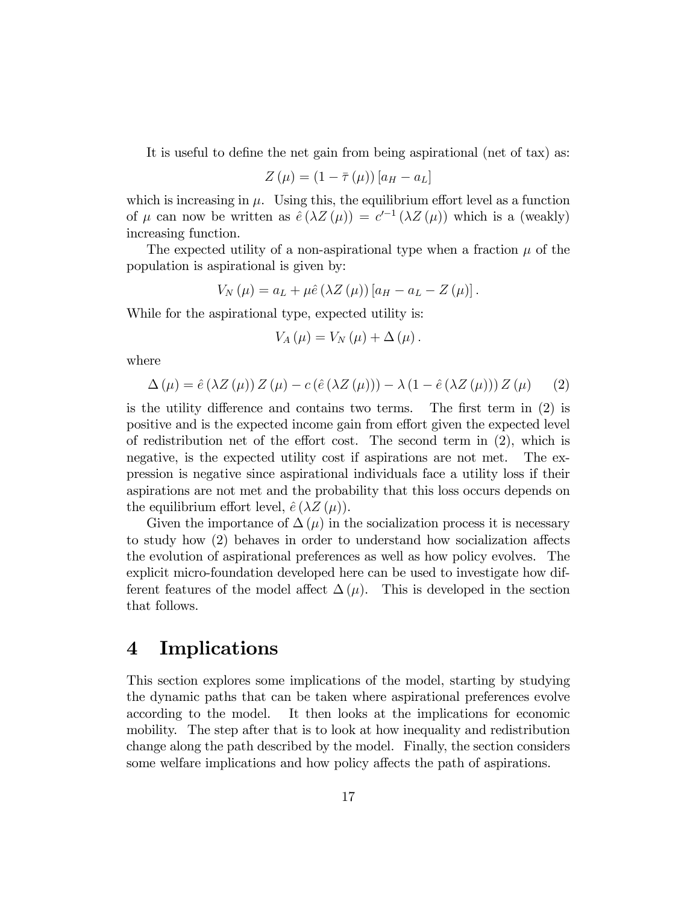It is useful to define the net gain from being aspirational (net of tax) as:

$$
Z(\mu) = (1 - \bar{\tau}(\mu)) [a_H - a_L]
$$

which is increasing in  $\mu$ . Using this, the equilibrium effort level as a function of  $\mu$  can now be written as  $\hat{e}(\lambda Z (\mu)) = c^{-1}(\lambda Z (\mu))$  which is a (weakly) increasing function.

The expected utility of a non-aspirational type when a fraction  $\mu$  of the population is aspirational is given by:

$$
V_N(\mu) = a_L + \mu \hat{e} (\lambda Z(\mu)) [a_H - a_L - Z(\mu)].
$$

While for the aspirational type, expected utility is:

$$
V_A(\mu) = V_N(\mu) + \Delta(\mu).
$$

where

$$
\Delta(\mu) = \hat{e}(\lambda Z(\mu)) Z(\mu) - c(\hat{e}(\lambda Z(\mu))) - \lambda (1 - \hat{e}(\lambda Z(\mu))) Z(\mu) \quad (2)
$$

is the utility difference and contains two terms. The first term in  $(2)$  is positive and is the expected income gain from effort given the expected level of redistribution net of the effort cost. The second term in  $(2)$ , which is negative, is the expected utility cost if aspirations are not met. The expression is negative since aspirational individuals face a utility loss if their aspirations are not met and the probability that this loss occurs depends on the equilibrium effort level,  $\hat{e}(\lambda Z (\mu)).$ 

Given the importance of  $\Delta(\mu)$  in the socialization process it is necessary to study how  $(2)$  behaves in order to understand how socialization affects the evolution of aspirational preferences as well as how policy evolves. The explicit micro-foundation developed here can be used to investigate how different features of the model affect  $\Delta(\mu)$ . This is developed in the section that follows.

## 4 Implications

This section explores some implications of the model, starting by studying the dynamic paths that can be taken where aspirational preferences evolve according to the model. It then looks at the implications for economic mobility. The step after that is to look at how inequality and redistribution change along the path described by the model. Finally, the section considers some welfare implications and how policy affects the path of aspirations.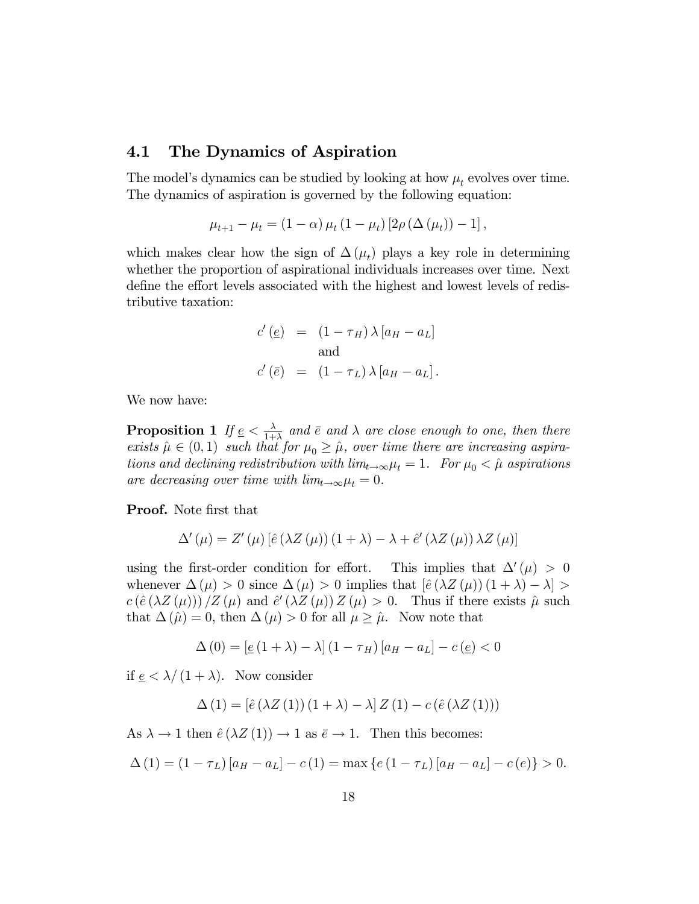#### 4.1 The Dynamics of Aspiration

The model's dynamics can be studied by looking at how  $\mu_t$  evolves over time. The dynamics of aspiration is governed by the following equation:

$$
\mu_{t+1} - \mu_t = (1 - \alpha) \mu_t (1 - \mu_t) [2 \rho (\Delta (\mu_t)) - 1],
$$

which makes clear how the sign of  $\Delta(\mu_t)$  plays a key role in determining whether the proportion of aspirational individuals increases over time. Next define the effort levels associated with the highest and lowest levels of redistributive taxation:

$$
c'(\underline{e}) = (1 - \tau_H) \lambda [a_H - a_L]
$$
  
and  

$$
c'(\overline{e}) = (1 - \tau_L) \lambda [a_H - a_L].
$$

We now have:

Proposition 1 If  $\underline{e} < \frac{\lambda}{1+\lambda}$  $\frac{\lambda}{1+\lambda}$  and  $\bar{e}$  and  $\lambda$  are close enough to one, then there exists  $\hat{\mu} \in (0, 1)$  such that for  $\mu_0 \geq \hat{\mu}$ , over time there are increasing aspirations and declining redistribution with  $\lim_{t\to\infty}\mu_t = 1$ . For  $\mu_0 < \hat{\mu}$  aspirations are decreasing over time with  $\lim_{t \to \infty} \mu_t = 0$ .

**Proof.** Note first that

$$
\Delta'\left(\mu\right) = Z'\left(\mu\right) \left[\hat{e}\left(\lambda Z\left(\mu\right)\right)\left(1+\lambda\right) - \lambda + \hat{e}'\left(\lambda Z\left(\mu\right)\right)\lambda Z\left(\mu\right)\right]
$$

using the first-order condition for effort. This implies that  $\Delta'(\mu) > 0$ whenever  $\Delta(\mu) > 0$  since  $\Delta(\mu) > 0$  implies that  $\left[\hat{e} (\lambda Z (\mu)) (1 + \lambda) - \lambda\right] >$  $c\left(\hat{e}\left(\lambda Z \left(\mu\right)\right)\right)/Z \left(\mu\right)$  and  $\hat{e}^{\prime}\left(\lambda Z \left(\mu\right)\right) Z \left(\mu\right) > 0$ . Thus if there exists  $\hat{\mu}$  such that  $\Delta(\hat{\mu}) = 0$ , then  $\Delta(\mu) > 0$  for all  $\mu \geq \hat{\mu}$ . Now note that

$$
\Delta(0) = [\underline{e}(1+\lambda) - \lambda](1 - \tau_H) [a_H - a_L] - c(\underline{e}) < 0
$$

if  $\underline{e} < \lambda/(1 + \lambda)$ . Now consider

$$
\Delta(1) = \left[\hat{e}(\lambda Z(1))(1+\lambda) - \lambda\right]Z(1) - c\left(\hat{e}(\lambda Z(1))\right)
$$

As  $\lambda \to 1$  then  $\hat{e}(\lambda Z (1)) \to 1$  as  $\bar{e} \to 1$ . Then this becomes:

$$
\Delta (1) = (1 - \tau_L) [a_H - a_L] - c(1) = \max \{ e (1 - \tau_L) [a_H - a_L] - c(e) \} > 0.
$$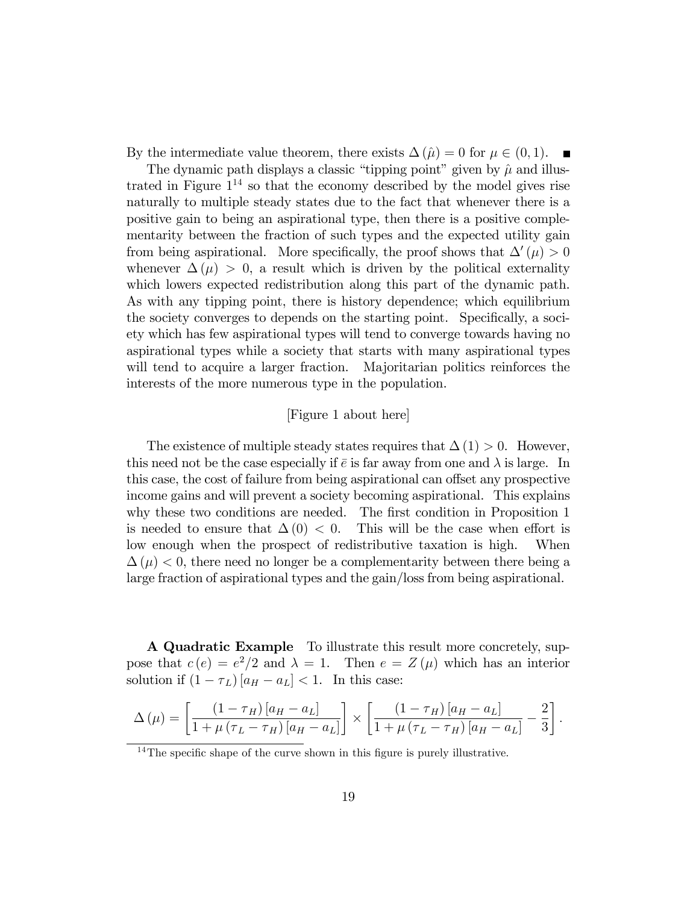By the intermediate value theorem, there exists  $\Delta(\hat{\mu}) = 0$  for  $\mu \in (0, 1)$ .

The dynamic path displays a classic "tipping point" given by  $\hat{\mu}$  and illustrated in Figure  $1^{14}$  so that the economy described by the model gives rise naturally to multiple steady states due to the fact that whenever there is a positive gain to being an aspirational type, then there is a positive complementarity between the fraction of such types and the expected utility gain from being aspirational. More specifically, the proof shows that  $\Delta'(\mu) > 0$ whenever  $\Delta(\mu) > 0$ , a result which is driven by the political externality which lowers expected redistribution along this part of the dynamic path. As with any tipping point, there is history dependence; which equilibrium the society converges to depends on the starting point. Specifically, a soci-ety which has few aspirational types will tend to converge towards having no aspirational types while a society that starts with many aspirational types will tend to acquire a larger fraction. Majoritarian politics reinforces the interests of the more numerous type in the population.

#### [Figure 1 about here]

The existence of multiple steady states requires that  $\Delta(1) > 0$ . However, this need not be the case especially if  $\bar{e}$  is far away from one and  $\lambda$  is large. In this case, the cost of failure from being aspirational can offset any prospective income gains and will prevent a society becoming aspirational. This explains why these two conditions are needed. The first condition in Proposition 1 is needed to ensure that  $\Delta(0) < 0$ . This will be the case when effort is low enough when the prospect of redistributive taxation is high. When  $\Delta(\mu)$  < 0, there need no longer be a complementarity between there being a large fraction of aspirational types and the gain/loss from being aspirational.

A Quadratic Example To illustrate this result more concretely, suppose that  $c(e) = e^2/2$  and  $\lambda = 1$ . Then  $e = Z(\mu)$  which has an interior solution if  $(1 - \tau_L) [a_H - a_L] < 1$ . In this case:

$$
\Delta(\mu) = \left[\frac{(1-\tau_H)[a_H - a_L]}{1+\mu(\tau_L - \tau_H)[a_H - a_L]}\right] \times \left[\frac{(1-\tau_H)[a_H - a_L]}{1+\mu(\tau_L - \tau_H)[a_H - a_L]} - \frac{2}{3}\right].
$$

 $14$ The specific shape of the curve shown in this figure is purely illustrative.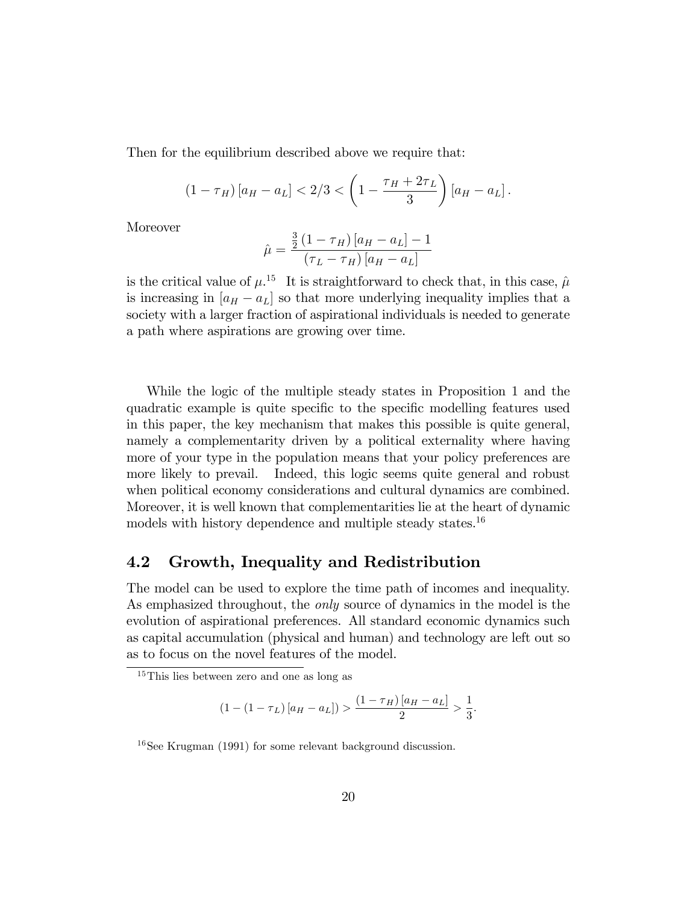Then for the equilibrium described above we require that:

$$
(1 - \tau_H) [a_H - a_L] < 2/3 < \left(1 - \frac{\tau_H + 2\tau_L}{3}\right) [a_H - a_L].
$$

Moreover

$$
\hat{\mu} = \frac{\frac{3}{2} \left(1 - \tau_H\right) \left[a_H - a_L\right] - 1}{\left(\tau_L - \tau_H\right) \left[a_H - a_L\right]}
$$

is the critical value of  $\mu^{15}$ . It is straightforward to check that, in this case,  $\hat{\mu}$ is increasing in  $[a_H - a_L]$  so that more underlying inequality implies that a society with a larger fraction of aspirational individuals is needed to generate a path where aspirations are growing over time.

While the logic of the multiple steady states in Proposition 1 and the quadratic example is quite specific to the specific modelling features used in this paper, the key mechanism that makes this possible is quite general, namely a complementarity driven by a political externality where having more of your type in the population means that your policy preferences are more likely to prevail. Indeed, this logic seems quite general and robust when political economy considerations and cultural dynamics are combined. Moreover, it is well known that complementarities lie at the heart of dynamic models with history dependence and multiple steady states.<sup>16</sup>

## 4.2 Growth, Inequality and Redistribution

The model can be used to explore the time path of incomes and inequality. As emphasized throughout, the only source of dynamics in the model is the evolution of aspirational preferences. All standard economic dynamics such as capital accumulation (physical and human) and technology are left out so as to focus on the novel features of the model.

$$
(1 - (1 - \tau_L) [a_H - a_L]) > \frac{(1 - \tau_H) [a_H - a_L]}{2} > \frac{1}{3}.
$$

<sup>15</sup>This lies between zero and one as long as

<sup>16</sup>See Krugman (1991) for some relevant background discussion.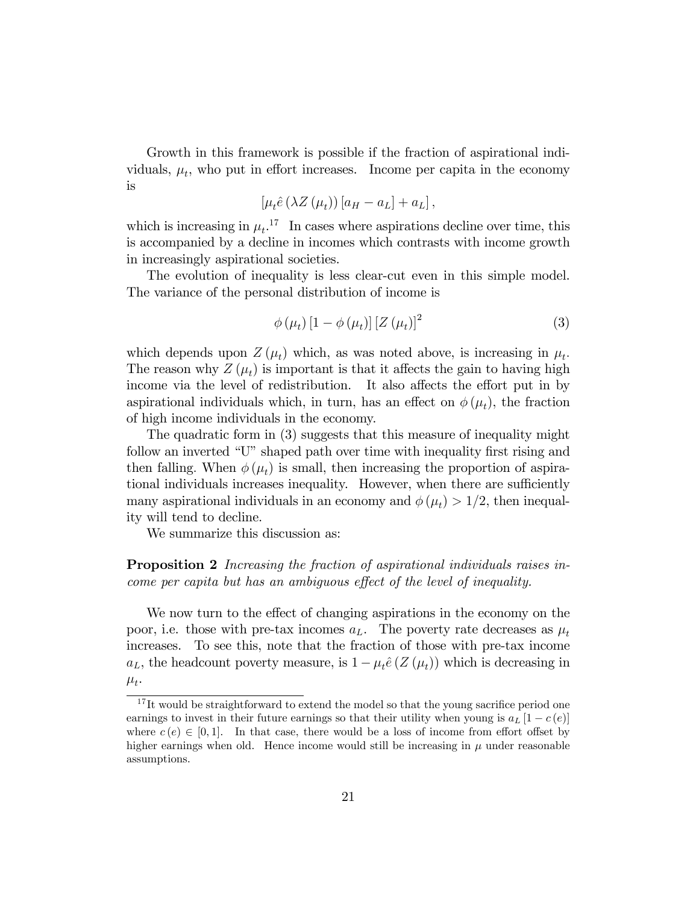Growth in this framework is possible if the fraction of aspirational individuals,  $\mu_t$ , who put in effort increases. Income per capita in the economy is

$$
\left[\mu_t \hat{e} \left(\lambda Z\left(\mu_t\right)\right) \left[a_H - a_L\right] + a_L\right],
$$

which is increasing in  $\mu_t$ <sup>17</sup> In cases where aspirations decline over time, this is accompanied by a decline in incomes which contrasts with income growth in increasingly aspirational societies.

The evolution of inequality is less clear-cut even in this simple model. The variance of the personal distribution of income is

$$
\phi\left(\mu_t\right)\left[1-\phi\left(\mu_t\right)\right]\left[Z\left(\mu_t\right)\right]^2\tag{3}
$$

which depends upon  $Z(\mu_t)$  which, as was noted above, is increasing in  $\mu_t$ . The reason why  $Z(\mu_t)$  is important is that it affects the gain to having high income via the level of redistribution. It also affects the effort put in by aspirational individuals which, in turn, has an effect on  $\phi(\mu_t)$ , the fraction of high income individuals in the economy.

The quadratic form in (3) suggests that this measure of inequality might follow an inverted "U" shaped path over time with inequality first rising and then falling. When  $\phi(\mu_t)$  is small, then increasing the proportion of aspirational individuals increases inequality. However, when there are sufficiently many aspirational individuals in an economy and  $\phi(\mu_t) > 1/2$ , then inequality will tend to decline.

We summarize this discussion as:

Proposition 2 Increasing the fraction of aspirational individuals raises income per capita but has an ambiguous effect of the level of inequality.

We now turn to the effect of changing aspirations in the economy on the poor, i.e. those with pre-tax incomes  $a_L$ . The poverty rate decreases as  $\mu_t$ increases. To see this, note that the fraction of those with pre-tax income  $a_L$ , the headcount poverty measure, is  $1 - \mu_t \hat{e}(Z(\mu_t))$  which is decreasing in  $\mu_t$ .

 $17$  It would be straightforward to extend the model so that the young sacrifice period one earnings to invest in their future earnings so that their utility when young is  $a_L [1 - c(e)]$ where  $c(e) \in [0, 1]$ . In that case, there would be a loss of income from effort offset by higher earnings when old. Hence income would still be increasing in  $\mu$  under reasonable assumptions.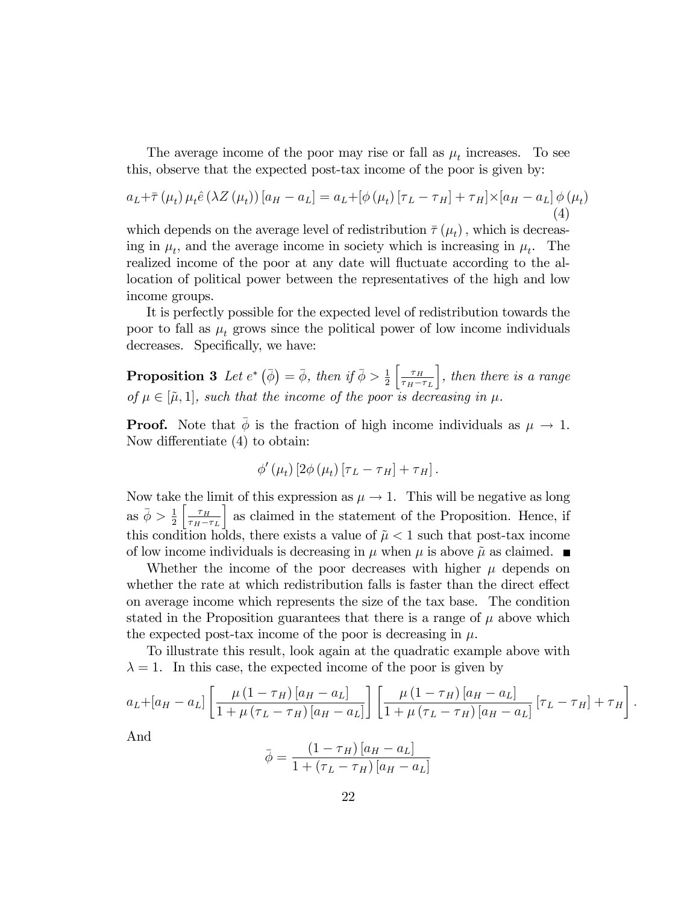The average income of the poor may rise or fall as  $\mu_t$  increases. To see this, observe that the expected post-tax income of the poor is given by:

$$
a_L + \overline{\tau}(\mu_t) \mu_t \hat{e}(\lambda Z(\mu_t)) [a_H - a_L] = a_L + [\phi(\mu_t) [\tau_L - \tau_H] + \tau_H] \times [a_H - a_L] \phi(\mu_t)
$$
\n(4)

which depends on the average level of redistribution  $\bar{\tau}(\mu_t)$ , which is decreasing in  $\mu_t$ , and the average income in society which is increasing in  $\mu_t$ . The realized income of the poor at any date will fluctuate according to the allocation of political power between the representatives of the high and low income groups.

It is perfectly possible for the expected level of redistribution towards the poor to fall as  $\mu_t$  grows since the political power of low income individuals decreases. Specifically, we have:

Proposition 3 Let  $e^*\left(\bar{\phi}\right) = \bar{\phi}$ , then if  $\bar{\phi} > \frac{1}{2}$  $\left[\begin{array}{c}$   $\tau$ <sub>H</sub>  $\tau_H - \tau_L$  $\Big\},\$  then there is a range of  $\mu \in [\tilde{\mu}, 1]$ , such that the income of the poor is decreasing in  $\mu$ .

**Proof.** Note that  $\phi$  is the fraction of high income individuals as  $\mu \to 1$ . Now differentiate  $(4)$  to obtain:

$$
\phi'(\mu_t) [2\phi(\mu_t) [\tau_L - \tau_H] + \tau_H].
$$

Now take the limit of this expression as  $\mu \to 1$ . This will be negative as long as  $\bar{\phi} > \frac{1}{2}$  $\left[\begin{array}{c}$   $\tau$ <sub>H</sub>  $\tau_H - \tau_L$ as claimed in the statement of the Proposition. Hence, if this condition holds, there exists a value of  $\tilde{\mu} < 1$  such that post-tax income of low income individuals is decreasing in  $\mu$  when  $\mu$  is above  $\tilde{\mu}$  as claimed.

Whether the income of the poor decreases with higher  $\mu$  depends on whether the rate at which redistribution falls is faster than the direct effect on average income which represents the size of the tax base. The condition stated in the Proposition guarantees that there is a range of  $\mu$  above which the expected post-tax income of the poor is decreasing in  $\mu$ .

To illustrate this result, look again at the quadratic example above with  $\lambda = 1$ . In this case, the expected income of the poor is given by

$$
a_L + [a_H - a_L] \left[ \frac{\mu (1 - \tau_H) [a_H - a_L]}{1 + \mu (\tau_L - \tau_H) [a_H - a_L]} \right] \left[ \frac{\mu (1 - \tau_H) [a_H - a_L]}{1 + \mu (\tau_L - \tau_H) [a_H - a_L]} [\tau_L - \tau_H] + \tau_H \right]
$$

:

And

$$
\bar{\phi} = \frac{\left(1 - \tau_H\right)\left[a_H - a_L\right]}{1 + \left(\tau_L - \tau_H\right)\left[a_H - a_L\right]}
$$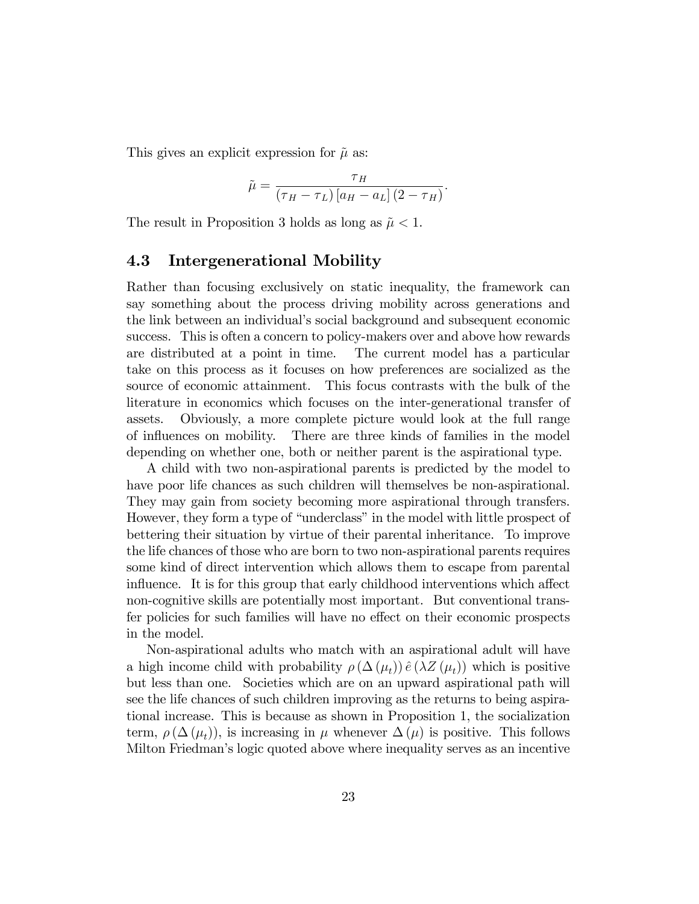This gives an explicit expression for  $\tilde{\mu}$  as:

$$
\tilde{\mu} = \frac{\tau_H}{(\tau_H - \tau_L) [a_H - a_L] (2 - \tau_H)}.
$$

The result in Proposition 3 holds as long as  $\tilde{\mu} < 1$ .

### 4.3 Intergenerational Mobility

Rather than focusing exclusively on static inequality, the framework can say something about the process driving mobility across generations and the link between an individualís social background and subsequent economic success. This is often a concern to policy-makers over and above how rewards are distributed at a point in time. The current model has a particular take on this process as it focuses on how preferences are socialized as the source of economic attainment. This focus contrasts with the bulk of the literature in economics which focuses on the inter-generational transfer of assets. Obviously, a more complete picture would look at the full range of ináuences on mobility. There are three kinds of families in the model depending on whether one, both or neither parent is the aspirational type.

A child with two non-aspirational parents is predicted by the model to have poor life chances as such children will themselves be non-aspirational. They may gain from society becoming more aspirational through transfers. However, they form a type of "underclass" in the model with little prospect of bettering their situation by virtue of their parental inheritance. To improve the life chances of those who are born to two non-aspirational parents requires some kind of direct intervention which allows them to escape from parental influence. It is for this group that early childhood interventions which affect non-cognitive skills are potentially most important. But conventional transfer policies for such families will have no effect on their economic prospects in the model.

Non-aspirational adults who match with an aspirational adult will have a high income child with probability  $\rho(\Delta(\mu_t)) \hat{e}(\lambda Z(\mu_t))$  which is positive but less than one. Societies which are on an upward aspirational path will see the life chances of such children improving as the returns to being aspirational increase. This is because as shown in Proposition 1, the socialization term,  $\rho(\Delta(\mu_t))$ , is increasing in  $\mu$  whenever  $\Delta(\mu)$  is positive. This follows Milton Friedmanís logic quoted above where inequality serves as an incentive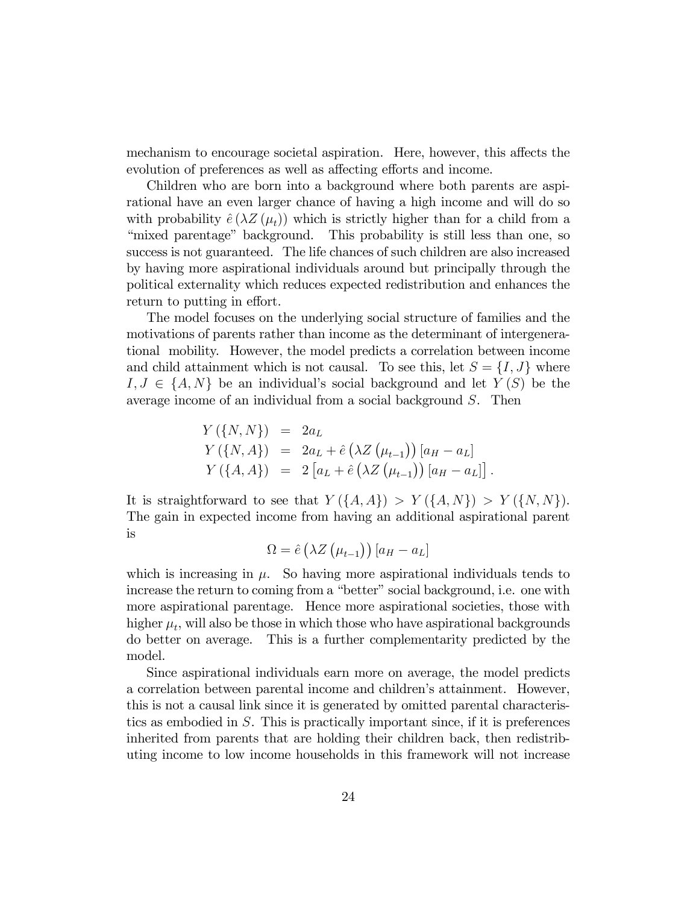mechanism to encourage societal aspiration. Here, however, this affects the evolution of preferences as well as affecting efforts and income.

Children who are born into a background where both parents are aspirational have an even larger chance of having a high income and will do so with probability  $\hat{e}(\lambda Z (\mu_t))$  which is strictly higher than for a child from a "mixed parentage" background. This probability is still less than one, so success is not guaranteed. The life chances of such children are also increased by having more aspirational individuals around but principally through the political externality which reduces expected redistribution and enhances the return to putting in effort.

The model focuses on the underlying social structure of families and the motivations of parents rather than income as the determinant of intergenerational mobility. However, the model predicts a correlation between income and child attainment which is not causal. To see this, let  $S = \{I, J\}$  where  $I, J \in \{A, N\}$  be an individual's social background and let  $Y(S)$  be the average income of an individual from a social background S. Then

$$
Y(\{N,N\}) = 2a_L Y(\{N,A\}) = 2a_L + \hat{e} (\lambda Z(\mu_{t-1})) [a_H - a_L] Y(\{A,A\}) = 2 [a_L + \hat{e} (\lambda Z(\mu_{t-1})) [a_H - a_L]].
$$

It is straightforward to see that  $Y(\{A,A\}) > Y(\{A,N\}) > Y(\{N,N\}).$ The gain in expected income from having an additional aspirational parent is

$$
\Omega = \hat{e} \left( \lambda Z \left( \mu_{t-1} \right) \right) \left[ a_H - a_L \right]
$$

which is increasing in  $\mu$ . So having more aspirational individuals tends to increase the return to coming from a "better" social background, i.e. one with more aspirational parentage. Hence more aspirational societies, those with higher  $\mu_t$ , will also be those in which those who have aspirational backgrounds do better on average. This is a further complementarity predicted by the model.

Since aspirational individuals earn more on average, the model predicts a correlation between parental income and children's attainment. However, this is not a causal link since it is generated by omitted parental characteristics as embodied in S. This is practically important since, if it is preferences inherited from parents that are holding their children back, then redistributing income to low income households in this framework will not increase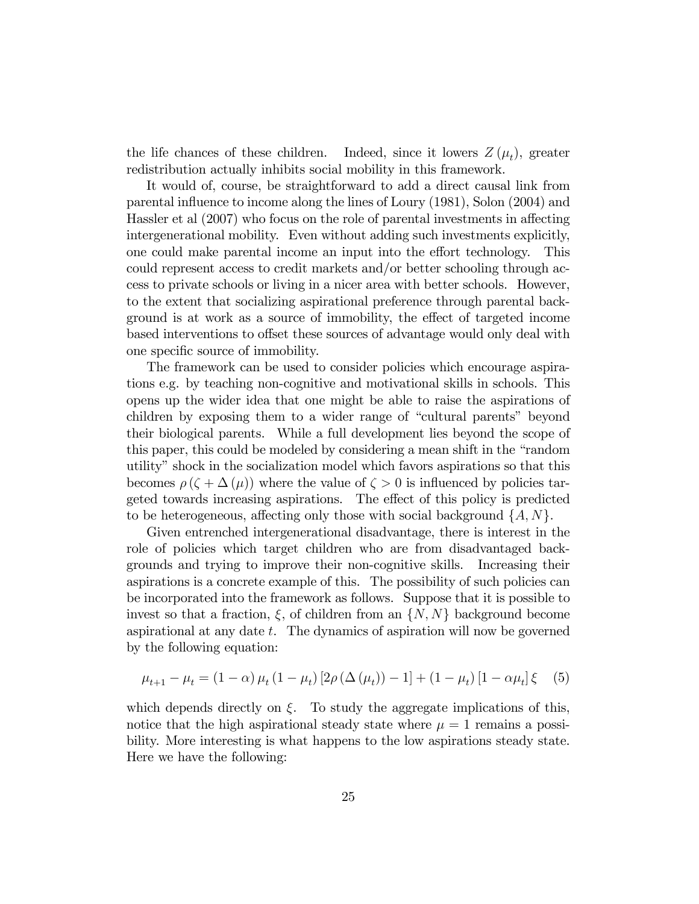the life chances of these children. Indeed, since it lowers  $Z(\mu_t)$ , greater redistribution actually inhibits social mobility in this framework.

It would of, course, be straightforward to add a direct causal link from parental influence to income along the lines of Loury (1981), Solon (2004) and Hassler et al  $(2007)$  who focus on the role of parental investments in affecting intergenerational mobility. Even without adding such investments explicitly, one could make parental income an input into the effort technology. This could represent access to credit markets and/or better schooling through access to private schools or living in a nicer area with better schools. However, to the extent that socializing aspirational preference through parental background is at work as a source of immobility, the effect of targeted income based interventions to offset these sources of advantage would only deal with one specific source of immobility.

The framework can be used to consider policies which encourage aspirations e.g. by teaching non-cognitive and motivational skills in schools. This opens up the wider idea that one might be able to raise the aspirations of children by exposing them to a wider range of "cultural parents" beyond their biological parents. While a full development lies beyond the scope of this paper, this could be modeled by considering a mean shift in the "random" utility" shock in the socialization model which favors aspirations so that this becomes  $\rho(\zeta + \Delta(\mu))$  where the value of  $\zeta > 0$  is influenced by policies targeted towards increasing aspirations. The effect of this policy is predicted to be heterogeneous, affecting only those with social background  $\{A, N\}$ .

Given entrenched intergenerational disadvantage, there is interest in the role of policies which target children who are from disadvantaged backgrounds and trying to improve their non-cognitive skills. Increasing their aspirations is a concrete example of this. The possibility of such policies can be incorporated into the framework as follows. Suppose that it is possible to invest so that a fraction,  $\xi$ , of children from an  $\{N, N\}$  background become aspirational at any date t. The dynamics of aspiration will now be governed by the following equation:

$$
\mu_{t+1} - \mu_t = (1 - \alpha) \mu_t (1 - \mu_t) [2\rho (\Delta(\mu_t)) - 1] + (1 - \mu_t) [1 - \alpha \mu_t] \xi \quad (5)
$$

which depends directly on  $\xi$ . To study the aggregate implications of this, notice that the high aspirational steady state where  $\mu = 1$  remains a possibility. More interesting is what happens to the low aspirations steady state. Here we have the following: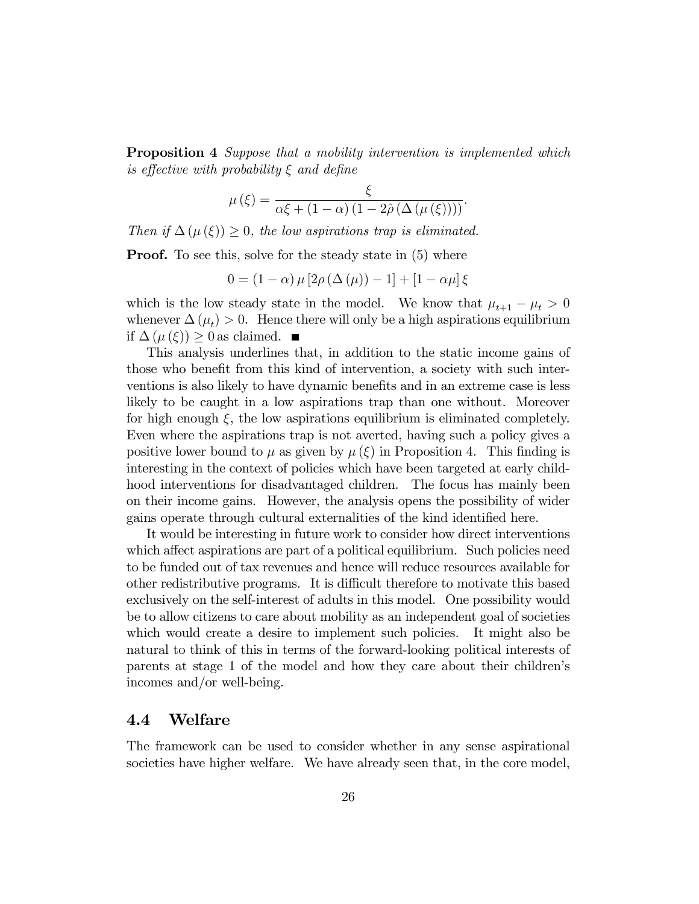**Proposition 4** Suppose that a mobility intervention is implemented which is effective with probability  $\xi$  and define

$$
\mu\left(\xi\right) = \frac{\xi}{\alpha\xi + \left(1 - \alpha\right)\left(1 - 2\hat{\rho}\left(\Delta\left(\mu\left(\xi\right)\right)\right)\right)}.
$$

Then if  $\Delta(\mu(\xi)) \geq 0$ , the low aspirations trap is eliminated.

**Proof.** To see this, solve for the steady state in  $(5)$  where

$$
0 = (1 - \alpha) \mu [2\rho (\Delta (\mu)) - 1] + [1 - \alpha \mu] \xi
$$

which is the low steady state in the model. We know that  $\mu_{t+1} - \mu_t > 0$ whenever  $\Delta(\mu_t) > 0$ . Hence there will only be a high aspirations equilibrium if  $\Delta(\mu(\xi))$  ≥ 0 as claimed. ■

This analysis underlines that, in addition to the static income gains of those who benefit from this kind of intervention, a society with such interventions is also likely to have dynamic benefits and in an extreme case is less likely to be caught in a low aspirations trap than one without. Moreover for high enough  $\xi$ , the low aspirations equilibrium is eliminated completely. Even where the aspirations trap is not averted, having such a policy gives a positive lower bound to  $\mu$  as given by  $\mu(\xi)$  in Proposition 4. This finding is interesting in the context of policies which have been targeted at early childhood interventions for disadvantaged children. The focus has mainly been on their income gains. However, the analysis opens the possibility of wider gains operate through cultural externalities of the kind identified here.

It would be interesting in future work to consider how direct interventions which affect aspirations are part of a political equilibrium. Such policies need to be funded out of tax revenues and hence will reduce resources available for other redistributive programs. It is difficult therefore to motivate this based exclusively on the self-interest of adults in this model. One possibility would be to allow citizens to care about mobility as an independent goal of societies which would create a desire to implement such policies. It might also be natural to think of this in terms of the forward-looking political interests of parents at stage 1 of the model and how they care about their childrenís incomes and/or well-being.

### 4.4 Welfare

The framework can be used to consider whether in any sense aspirational societies have higher welfare. We have already seen that, in the core model,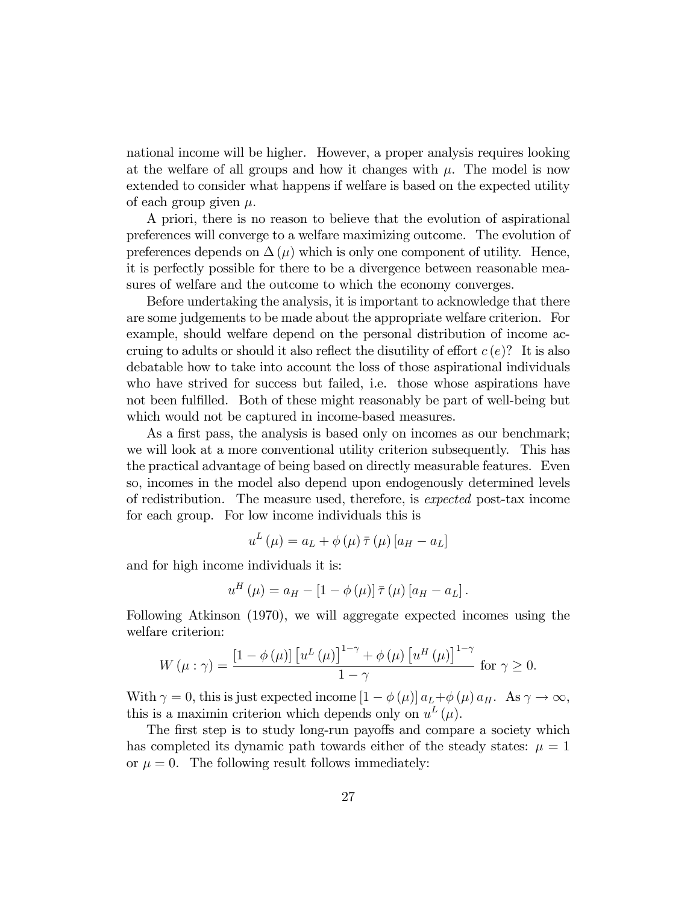national income will be higher. However, a proper analysis requires looking at the welfare of all groups and how it changes with  $\mu$ . The model is now extended to consider what happens if welfare is based on the expected utility of each group given  $\mu$ .

A priori, there is no reason to believe that the evolution of aspirational preferences will converge to a welfare maximizing outcome. The evolution of preferences depends on  $\Delta(\mu)$  which is only one component of utility. Hence, it is perfectly possible for there to be a divergence between reasonable measures of welfare and the outcome to which the economy converges.

Before undertaking the analysis, it is important to acknowledge that there are some judgements to be made about the appropriate welfare criterion. For example, should welfare depend on the personal distribution of income accruing to adults or should it also reflect the disutility of effort  $c(e)$ ? It is also debatable how to take into account the loss of those aspirational individuals who have strived for success but failed, i.e. those whose aspirations have not been fulfilled. Both of these might reasonably be part of well-being but which would not be captured in income-based measures.

As a first pass, the analysis is based only on incomes as our benchmark; we will look at a more conventional utility criterion subsequently. This has the practical advantage of being based on directly measurable features. Even so, incomes in the model also depend upon endogenously determined levels of redistribution. The measure used, therefore, is expected post-tax income for each group. For low income individuals this is

$$
u^{L}(\mu) = a_{L} + \phi(\mu)\bar{\tau}(\mu)[a_{H} - a_{L}]
$$

and for high income individuals it is:

$$
u^{H}(\mu) = a_{H} - [1 - \phi(\mu)] \overline{\tau}(\mu) [a_{H} - a_{L}].
$$

Following Atkinson (1970), we will aggregate expected incomes using the welfare criterion:

$$
W(\mu : \gamma) = \frac{\left[1 - \phi(\mu)\right] \left[u^L(\mu)\right]^{1-\gamma} + \phi(\mu) \left[u^H(\mu)\right]^{1-\gamma}}{1-\gamma} \text{ for } \gamma \ge 0.
$$

With  $\gamma = 0$ , this is just expected income  $[1 - \phi(\mu)] a_L + \phi(\mu) a_H$ . As  $\gamma \to \infty$ , this is a maximin criterion which depends only on  $u^L(\mu)$ .

The first step is to study long-run payoffs and compare a society which has completed its dynamic path towards either of the steady states:  $\mu = 1$ or  $\mu = 0$ . The following result follows immediately: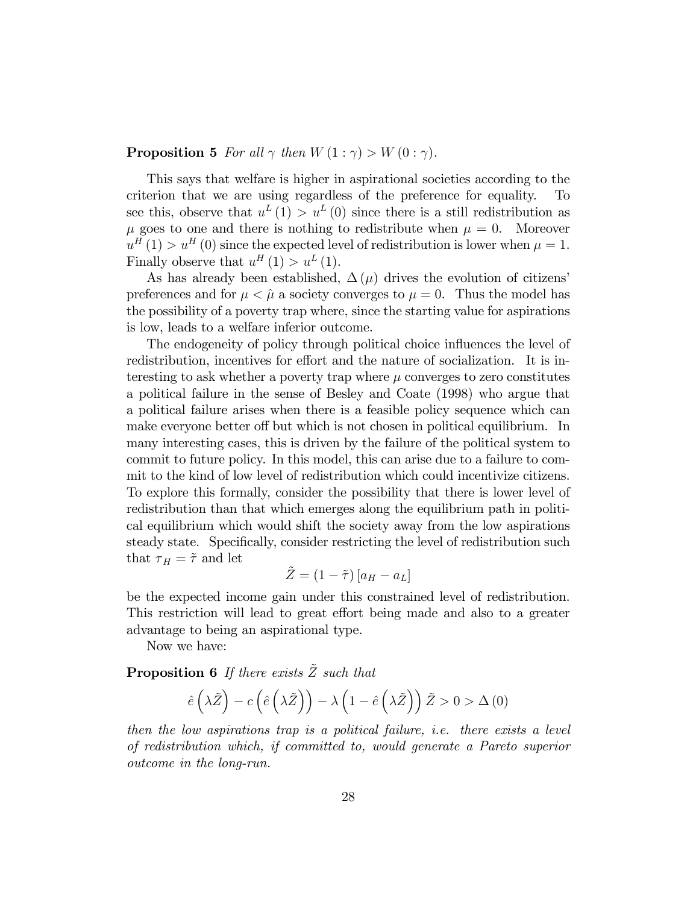**Proposition 5** For all  $\gamma$  then  $W(1:\gamma) > W(0:\gamma)$ .

This says that welfare is higher in aspirational societies according to the criterion that we are using regardless of the preference for equality. To see this, observe that  $u^L(1) > u^L(0)$  since there is a still redistribution as  $\mu$  goes to one and there is nothing to redistribute when  $\mu = 0$ . Moreover  $u^H(1) > u^H(0)$  since the expected level of redistribution is lower when  $\mu = 1$ . Finally observe that  $u^H(1) > u^L(1)$ .

As has already been established,  $\Delta(\mu)$  drives the evolution of citizens' preferences and for  $\mu < \hat{\mu}$  a society converges to  $\mu = 0$ . Thus the model has the possibility of a poverty trap where, since the starting value for aspirations is low, leads to a welfare inferior outcome.

The endogeneity of policy through political choice influences the level of redistribution, incentives for effort and the nature of socialization. It is interesting to ask whether a poverty trap where  $\mu$  converges to zero constitutes a political failure in the sense of Besley and Coate (1998) who argue that a political failure arises when there is a feasible policy sequence which can make everyone better off but which is not chosen in political equilibrium. In many interesting cases, this is driven by the failure of the political system to commit to future policy. In this model, this can arise due to a failure to commit to the kind of low level of redistribution which could incentivize citizens. To explore this formally, consider the possibility that there is lower level of redistribution than that which emerges along the equilibrium path in political equilibrium which would shift the society away from the low aspirations steady state. Specifically, consider restricting the level of redistribution such that  $\tau_H = \tilde{\tau}$  and let

$$
\tilde{Z} = (1 - \tilde{\tau}) [a_H - a_L]
$$

be the expected income gain under this constrained level of redistribution. This restriction will lead to great effort being made and also to a greater advantage to being an aspirational type.

Now we have:

## **Proposition 6** If there exists  $\tilde{Z}$  such that

$$
\hat{e}(\lambda \tilde{Z}) - c\left(\hat{e}(\lambda \tilde{Z})\right) - \lambda \left(1 - \hat{e}(\lambda \tilde{Z})\right) \tilde{Z} > 0 > \Delta(0)
$$

then the low aspirations trap is a political failure, i.e. there exists a level of redistribution which, if committed to, would generate a Pareto superior outcome in the long-run.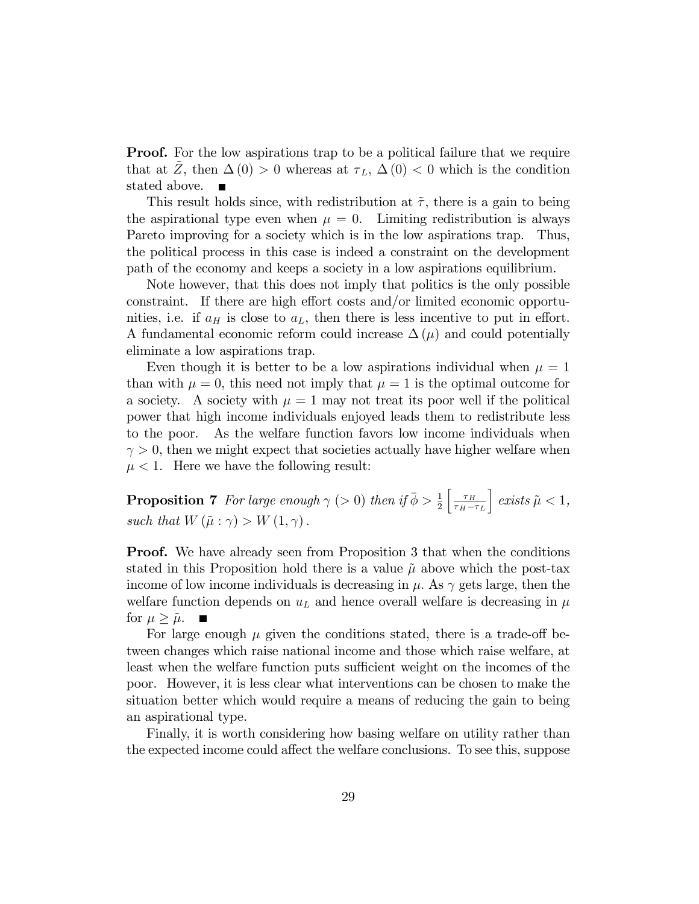**Proof.** For the low aspirations trap to be a political failure that we require that at Z, then  $\Delta(0) > 0$  whereas at  $\tau_L$ ,  $\Delta(0) < 0$  which is the condition stated above.

This result holds since, with redistribution at  $\tilde{\tau}$ , there is a gain to being the aspirational type even when  $\mu = 0$ . Limiting redistribution is always Pareto improving for a society which is in the low aspirations trap. Thus, the political process in this case is indeed a constraint on the development path of the economy and keeps a society in a low aspirations equilibrium.

Note however, that this does not imply that politics is the only possible constraint. If there are high effort costs and/or limited economic opportunities, i.e. if  $a_H$  is close to  $a_L$ , then there is less incentive to put in effort. A fundamental economic reform could increase  $\Delta(\mu)$  and could potentially eliminate a low aspirations trap.

Even though it is better to be a low aspirations individual when  $\mu = 1$ than with  $\mu = 0$ , this need not imply that  $\mu = 1$  is the optimal outcome for a society. A society with  $\mu = 1$  may not treat its poor well if the political power that high income individuals enjoyed leads them to redistribute less to the poor. As the welfare function favors low income individuals when  $\gamma > 0$ , then we might expect that societies actually have higher welfare when  $\mu$  < 1. Here we have the following result:

**Proposition 7** For large enough  $\gamma$  ( $> 0$ ) then if  $\bar{\phi} > \frac{1}{2}$  $\left[\begin{array}{c}$   $\tau$  $\tau_H - \tau_L$  $\Big| \text{ exists } \tilde{\mu} < 1,$ such that  $W(\tilde{\mu} : \gamma) > W(1, \gamma)$ .

**Proof.** We have already seen from Proposition 3 that when the conditions stated in this Proposition hold there is a value  $\tilde{\mu}$  above which the post-tax income of low income individuals is decreasing in  $\mu$ . As  $\gamma$  gets large, then the welfare function depends on  $u<sub>L</sub>$  and hence overall welfare is decreasing in  $\mu$ for  $\mu \geq \tilde{\mu}$ .

For large enough  $\mu$  given the conditions stated, there is a trade-off between changes which raise national income and those which raise welfare, at least when the welfare function puts sufficient weight on the incomes of the poor. However, it is less clear what interventions can be chosen to make the situation better which would require a means of reducing the gain to being an aspirational type.

Finally, it is worth considering how basing welfare on utility rather than the expected income could affect the welfare conclusions. To see this, suppose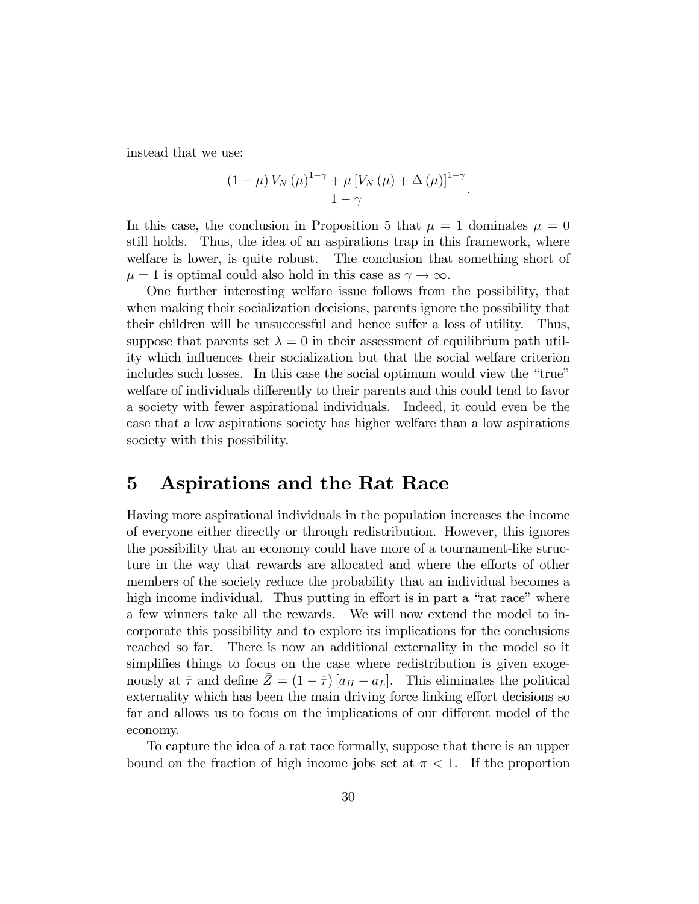instead that we use:

$$
\frac{\left(1-\mu\right)V_{N}\left(\mu\right)^{1-\gamma}+\mu\left[V_{N}\left(\mu\right)+\Delta\left(\mu\right)\right]^{1-\gamma}}{1-\gamma}.
$$

In this case, the conclusion in Proposition 5 that  $\mu = 1$  dominates  $\mu = 0$ still holds. Thus, the idea of an aspirations trap in this framework, where welfare is lower, is quite robust. The conclusion that something short of  $\mu = 1$  is optimal could also hold in this case as  $\gamma \to \infty$ .

One further interesting welfare issue follows from the possibility, that when making their socialization decisions, parents ignore the possibility that their children will be unsuccessful and hence suffer a loss of utility. Thus, suppose that parents set  $\lambda = 0$  in their assessment of equilibrium path utility which influences their socialization but that the social welfare criterion includes such losses. In this case the social optimum would view the "true" welfare of individuals differently to their parents and this could tend to favor a society with fewer aspirational individuals. Indeed, it could even be the case that a low aspirations society has higher welfare than a low aspirations society with this possibility.

## 5 Aspirations and the Rat Race

Having more aspirational individuals in the population increases the income of everyone either directly or through redistribution. However, this ignores the possibility that an economy could have more of a tournament-like structure in the way that rewards are allocated and where the efforts of other members of the society reduce the probability that an individual becomes a high income individual. Thus putting in effort is in part a "rat race" where a few winners take all the rewards. We will now extend the model to incorporate this possibility and to explore its implications for the conclusions reached so far. There is now an additional externality in the model so it simplifies things to focus on the case where redistribution is given exogenously at  $\bar{\tau}$  and define  $\bar{Z} = (1 - \bar{\tau}) [a_H - a_L]$ . This eliminates the political externality which has been the main driving force linking effort decisions so far and allows us to focus on the implications of our different model of the economy.

To capture the idea of a rat race formally, suppose that there is an upper bound on the fraction of high income jobs set at  $\pi < 1$ . If the proportion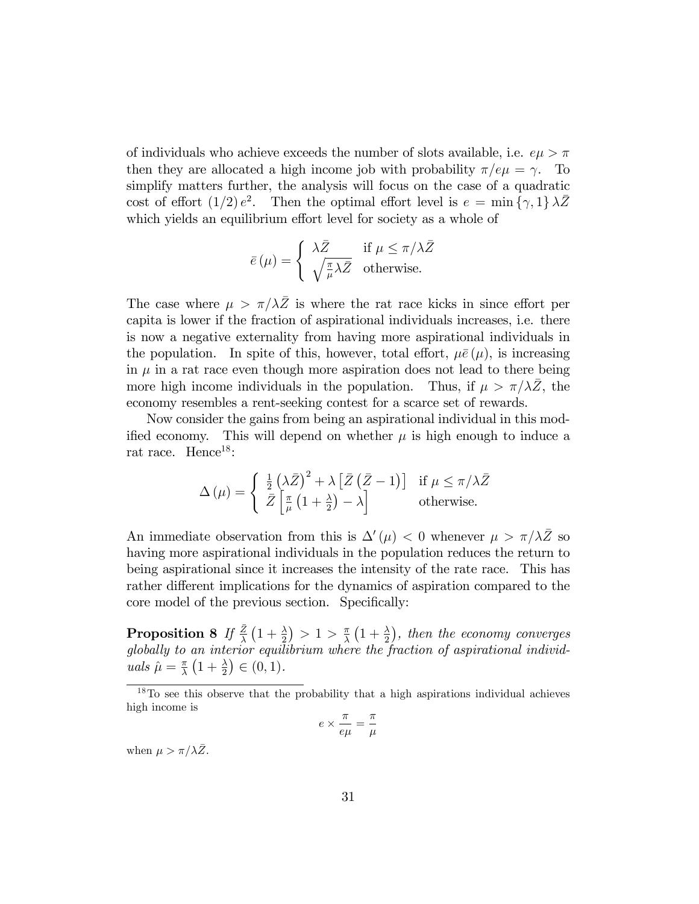of individuals who achieve exceeds the number of slots available, i.e.  $e\mu > \pi$ then they are allocated a high income job with probability  $\pi/e\mu = \gamma$ . To simplify matters further, the analysis will focus on the case of a quadratic cost of effort  $(1/2) e^2$ . Then the optimal effort level is  $e = \min \{ \gamma, 1 \} \lambda \bar{Z}$ which yields an equilibrium effort level for society as a whole of

$$
\bar{e}(\mu) = \begin{cases} \lambda \bar{Z} & \text{if } \mu \le \pi/\lambda \bar{Z} \\ \sqrt{\frac{\pi}{\mu} \lambda \bar{Z}} & \text{otherwise.} \end{cases}
$$

The case where  $\mu > \pi/\lambda \bar{Z}$  is where the rat race kicks in since effort per capita is lower if the fraction of aspirational individuals increases, i.e. there is now a negative externality from having more aspirational individuals in the population. In spite of this, however, total effort,  $\mu\bar{e}(\mu)$ , is increasing in  $\mu$  in a rat race even though more aspiration does not lead to there being more high income individuals in the population. Thus, if  $\mu > \pi/\lambda Z$ , the economy resembles a rent-seeking contest for a scarce set of rewards.

Now consider the gains from being an aspirational individual in this modified economy. This will depend on whether  $\mu$  is high enough to induce a rat race. Hence<sup>18</sup>:

$$
\Delta(\mu) = \begin{cases} \frac{1}{2} (\lambda \bar{Z})^2 + \lambda \left[ \bar{Z} (\bar{Z} - 1) \right] & \text{if } \mu \le \pi / \lambda \bar{Z} \\ \bar{Z} \left[ \frac{\pi}{\mu} (1 + \frac{\lambda}{2}) - \lambda \right] & \text{otherwise.} \end{cases}
$$

An immediate observation from this is  $\Delta'(\mu) < 0$  whenever  $\mu > \pi/\lambda \bar{Z}$  so having more aspirational individuals in the population reduces the return to being aspirational since it increases the intensity of the rate race. This has rather different implications for the dynamics of aspiration compared to the core model of the previous section. Specifically:

Proposition 8 If  $\frac{\bar{Z}}{\lambda} \left( 1 + \frac{\lambda}{2} \right) > 1 > \frac{\pi}{\lambda}$  $\frac{\pi}{\lambda}\left(1+\frac{\lambda}{2}\right)$ , then the economy converges globally to an interior equilibrium where the fraction of aspirational individuals  $\hat{\mu} = \frac{\pi}{\lambda}$  $\frac{\pi}{\lambda}(1+\frac{\lambda}{2}) \in (0,1).$ 

$$
e\times\frac{\pi}{e\mu}=\frac{\pi}{\mu}
$$

when  $\mu > \pi / \lambda \bar{Z}$ .

<sup>18</sup>To see this observe that the probability that a high aspirations individual achieves high income is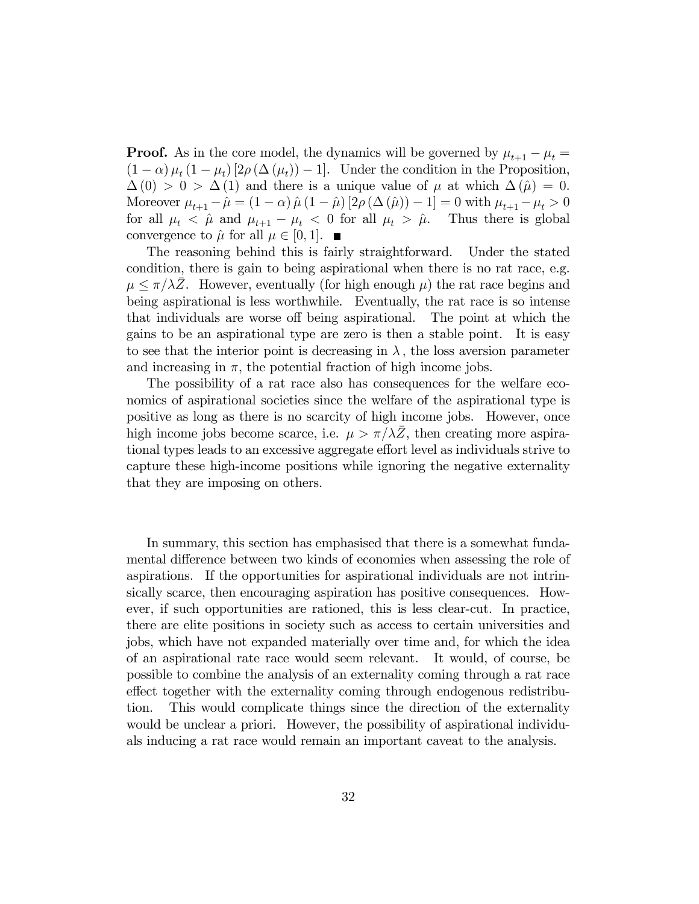**Proof.** As in the core model, the dynamics will be governed by  $\mu_{t+1} - \mu_t =$  $(1 - \alpha) \mu_t (1 - \mu_t) [2 \rho (\Delta(\mu_t)) - 1].$  Under the condition in the Proposition,  $\Delta(0) > 0 > \Delta(1)$  and there is a unique value of  $\mu$  at which  $\Delta(\hat{\mu}) = 0$ . Moreover  $\mu_{t+1} - \hat{\mu} = (1 - \alpha) \hat{\mu} (1 - \hat{\mu}) [2 \rho (\Delta (\hat{\mu})) - 1] = 0$  with  $\mu_{t+1} - \mu_t > 0$ for all  $\mu_t < \hat{\mu}$  and  $\mu_{t+1} - \mu_t < 0$  for all  $\mu_t > \hat{\mu}$ . Thus there is global convergence to  $\hat{\mu}$  for all  $\mu \in [0, 1]$ .

The reasoning behind this is fairly straightforward. Under the stated condition, there is gain to being aspirational when there is no rat race, e.g.  $\mu \leq \pi/\lambda Z$ . However, eventually (for high enough  $\mu$ ) the rat race begins and being aspirational is less worthwhile. Eventually, the rat race is so intense that individuals are worse off being aspirational. The point at which the gains to be an aspirational type are zero is then a stable point. It is easy to see that the interior point is decreasing in  $\lambda$ , the loss aversion parameter and increasing in  $\pi$ , the potential fraction of high income jobs.

The possibility of a rat race also has consequences for the welfare economics of aspirational societies since the welfare of the aspirational type is positive as long as there is no scarcity of high income jobs. However, once high income jobs become scarce, i.e.  $\mu > \pi/\lambda \bar{Z}$ , then creating more aspirational types leads to an excessive aggregate effort level as individuals strive to capture these high-income positions while ignoring the negative externality that they are imposing on others.

In summary, this section has emphasised that there is a somewhat fundamental difference between two kinds of economies when assessing the role of aspirations. If the opportunities for aspirational individuals are not intrinsically scarce, then encouraging aspiration has positive consequences. However, if such opportunities are rationed, this is less clear-cut. In practice, there are elite positions in society such as access to certain universities and jobs, which have not expanded materially over time and, for which the idea of an aspirational rate race would seem relevant. It would, of course, be possible to combine the analysis of an externality coming through a rat race effect together with the externality coming through endogenous redistribution. This would complicate things since the direction of the externality would be unclear a priori. However, the possibility of aspirational individuals inducing a rat race would remain an important caveat to the analysis.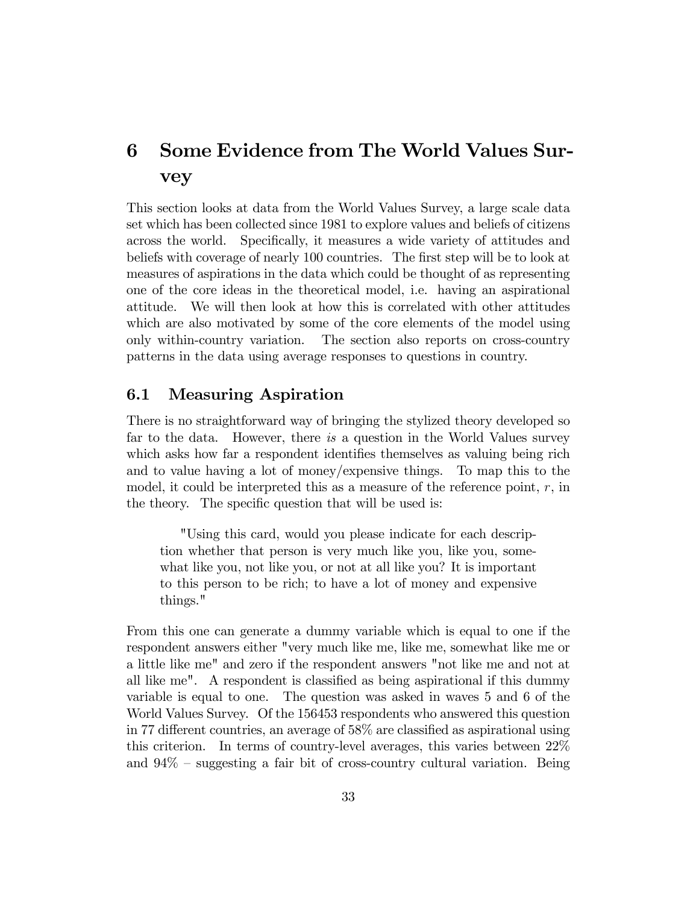# 6 Some Evidence from The World Values Survey

This section looks at data from the World Values Survey, a large scale data set which has been collected since 1981 to explore values and beliefs of citizens across the world. Specifically, it measures a wide variety of attitudes and beliefs with coverage of nearly 100 countries. The first step will be to look at measures of aspirations in the data which could be thought of as representing one of the core ideas in the theoretical model, i.e. having an aspirational attitude. We will then look at how this is correlated with other attitudes which are also motivated by some of the core elements of the model using only within-country variation. The section also reports on cross-country patterns in the data using average responses to questions in country.

## 6.1 Measuring Aspiration

There is no straightforward way of bringing the stylized theory developed so far to the data. However, there is a question in the World Values survey which asks how far a respondent identifies themselves as valuing being rich and to value having a lot of money/expensive things. To map this to the model, it could be interpreted this as a measure of the reference point,  $r$ , in the theory. The specific question that will be used is:

"Using this card, would you please indicate for each description whether that person is very much like you, like you, somewhat like you, not like you, or not at all like you? It is important to this person to be rich; to have a lot of money and expensive things."

From this one can generate a dummy variable which is equal to one if the respondent answers either "very much like me, like me, somewhat like me or a little like me" and zero if the respondent answers "not like me and not at all like me". A respondent is classified as being aspirational if this dummy variable is equal to one. The question was asked in waves 5 and 6 of the World Values Survey. Of the 156453 respondents who answered this question in 77 different countries, an average of  $58\%$  are classified as aspirational using this criterion. In terms of country-level averages, this varies between 22% and  $94\%$  – suggesting a fair bit of cross-country cultural variation. Being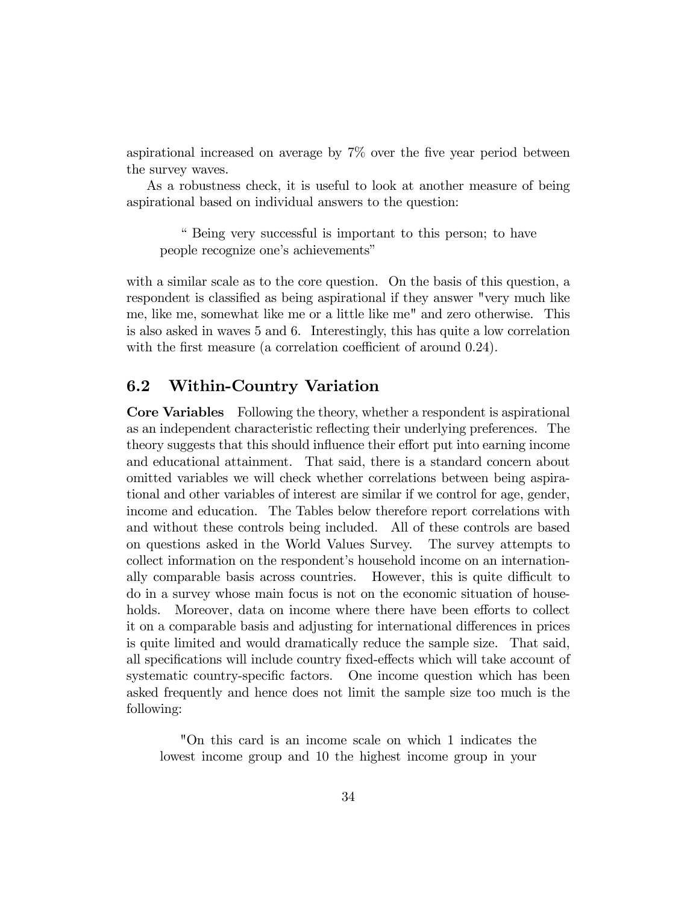aspirational increased on average by  $7\%$  over the five year period between the survey waves.

As a robustness check, it is useful to look at another measure of being aspirational based on individual answers to the question:

ì Being very successful is important to this person; to have people recognize one's achievements"

with a similar scale as to the core question. On the basis of this question, a respondent is classified as being aspirational if they answer "very much like me, like me, somewhat like me or a little like me" and zero otherwise. This is also asked in waves 5 and 6. Interestingly, this has quite a low correlation with the first measure (a correlation coefficient of around  $0.24$ ).

### 6.2 Within-Country Variation

Core Variables Following the theory, whether a respondent is aspirational as an independent characteristic reflecting their underlying preferences. The theory suggests that this should influence their effort put into earning income and educational attainment. That said, there is a standard concern about omitted variables we will check whether correlations between being aspirational and other variables of interest are similar if we control for age, gender, income and education. The Tables below therefore report correlations with and without these controls being included. All of these controls are based on questions asked in the World Values Survey. The survey attempts to collect information on the respondent's household income on an internationally comparable basis across countries. However, this is quite difficult to do in a survey whose main focus is not on the economic situation of households. Moreover, data on income where there have been efforts to collect it on a comparable basis and adjusting for international differences in prices is quite limited and would dramatically reduce the sample size. That said, all specifications will include country fixed-effects which will take account of systematic country-specific factors. One income question which has been asked frequently and hence does not limit the sample size too much is the following:

"On this card is an income scale on which 1 indicates the lowest income group and 10 the highest income group in your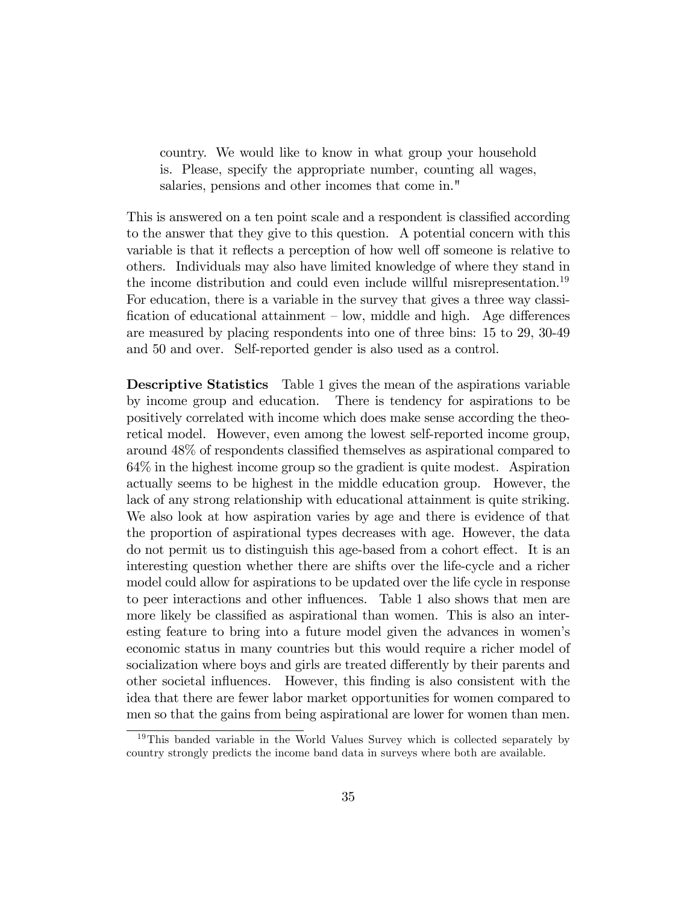country. We would like to know in what group your household is. Please, specify the appropriate number, counting all wages, salaries, pensions and other incomes that come in."

This is answered on a ten point scale and a respondent is classified according to the answer that they give to this question. A potential concern with this variable is that it reflects a perception of how well off someone is relative to others. Individuals may also have limited knowledge of where they stand in the income distribution and could even include willful misrepresentation.<sup>19</sup> For education, there is a variable in the survey that gives a three way classification of educational attainment  $\overline{\phantom{a}}$  low, middle and high. Age differences are measured by placing respondents into one of three bins: 15 to 29, 30-49 and 50 and over. Self-reported gender is also used as a control.

Descriptive Statistics Table 1 gives the mean of the aspirations variable by income group and education. There is tendency for aspirations to be positively correlated with income which does make sense according the theoretical model. However, even among the lowest self-reported income group, around 48% of respondents classified themselves as aspirational compared to 64% in the highest income group so the gradient is quite modest. Aspiration actually seems to be highest in the middle education group. However, the lack of any strong relationship with educational attainment is quite striking. We also look at how aspiration varies by age and there is evidence of that the proportion of aspirational types decreases with age. However, the data do not permit us to distinguish this age-based from a cohort effect. It is an interesting question whether there are shifts over the life-cycle and a richer model could allow for aspirations to be updated over the life cycle in response to peer interactions and other influences. Table 1 also shows that men are more likely be classified as aspirational than women. This is also an interesting feature to bring into a future model given the advances in women's economic status in many countries but this would require a richer model of socialization where boys and girls are treated differently by their parents and other societal ináuences. However, this Önding is also consistent with the idea that there are fewer labor market opportunities for women compared to men so that the gains from being aspirational are lower for women than men.

<sup>&</sup>lt;sup>19</sup>This banded variable in the World Values Survey which is collected separately by country strongly predicts the income band data in surveys where both are available.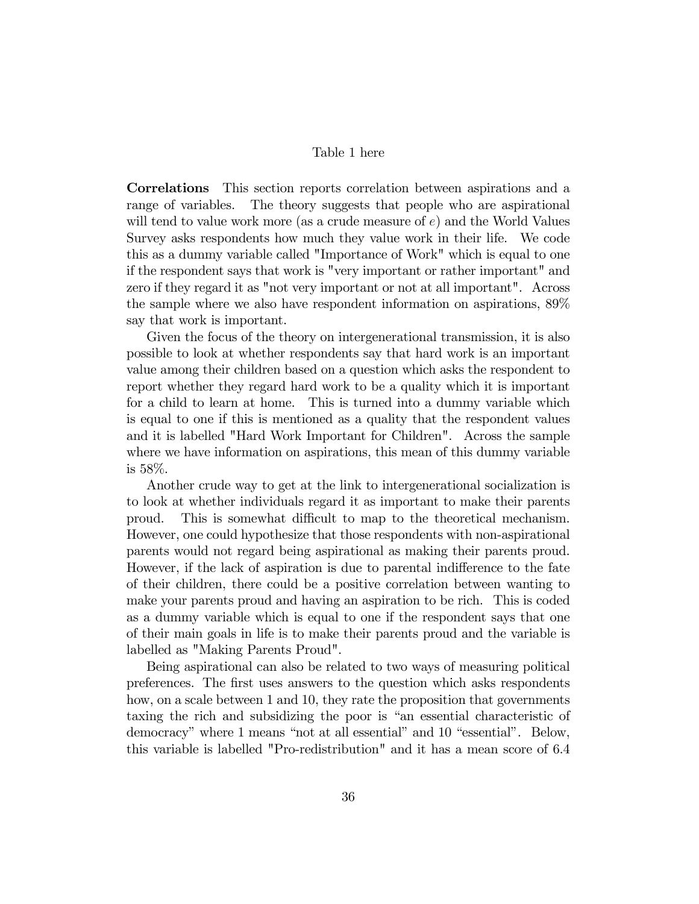#### Table 1 here

Correlations This section reports correlation between aspirations and a range of variables. The theory suggests that people who are aspirational will tend to value work more (as a crude measure of  $e$ ) and the World Values Survey asks respondents how much they value work in their life. We code this as a dummy variable called "Importance of Work" which is equal to one if the respondent says that work is "very important or rather important" and zero if they regard it as "not very important or not at all important". Across the sample where we also have respondent information on aspirations, 89% say that work is important.

Given the focus of the theory on intergenerational transmission, it is also possible to look at whether respondents say that hard work is an important value among their children based on a question which asks the respondent to report whether they regard hard work to be a quality which it is important for a child to learn at home. This is turned into a dummy variable which is equal to one if this is mentioned as a quality that the respondent values and it is labelled "Hard Work Important for Children". Across the sample where we have information on aspirations, this mean of this dummy variable is 58%.

Another crude way to get at the link to intergenerational socialization is to look at whether individuals regard it as important to make their parents proud. This is somewhat difficult to map to the theoretical mechanism. However, one could hypothesize that those respondents with non-aspirational parents would not regard being aspirational as making their parents proud. However, if the lack of aspiration is due to parental indifference to the fate of their children, there could be a positive correlation between wanting to make your parents proud and having an aspiration to be rich. This is coded as a dummy variable which is equal to one if the respondent says that one of their main goals in life is to make their parents proud and the variable is labelled as "Making Parents Proud".

Being aspirational can also be related to two ways of measuring political preferences. The first uses answers to the question which asks respondents how, on a scale between 1 and 10, they rate the proposition that governments taxing the rich and subsidizing the poor is "an essential characteristic of democracy" where 1 means "not at all essential" and 10 "essential". Below, this variable is labelled "Pro-redistribution" and it has a mean score of 6.4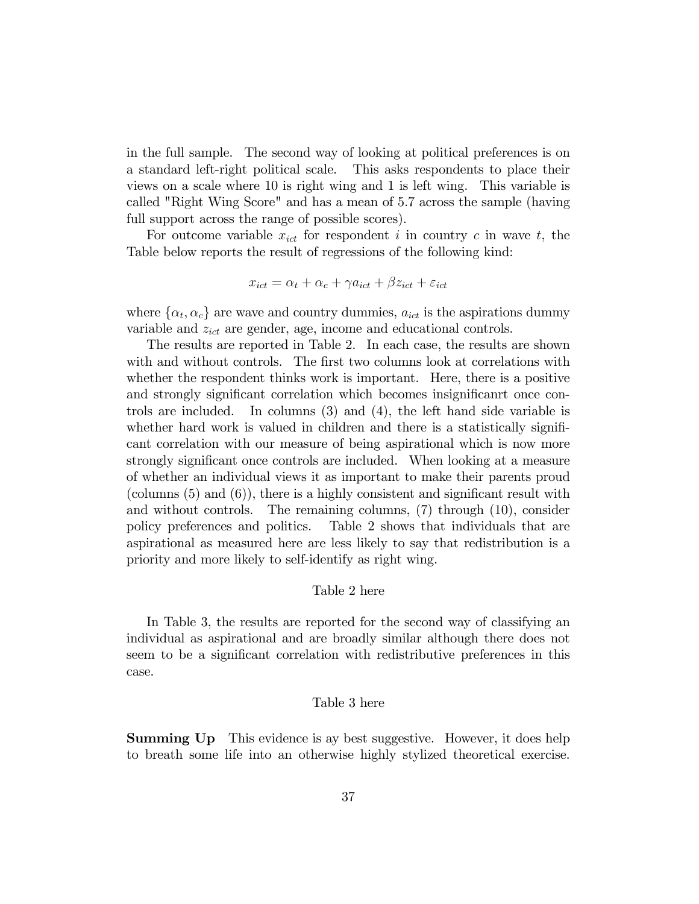in the full sample. The second way of looking at political preferences is on a standard left-right political scale. This asks respondents to place their views on a scale where 10 is right wing and 1 is left wing. This variable is called "Right Wing Score" and has a mean of 5.7 across the sample (having full support across the range of possible scores).

For outcome variable  $x_{ict}$  for respondent i in country c in wave t, the Table below reports the result of regressions of the following kind:

$$
x_{ict} = \alpha_t + \alpha_c + \gamma a_{ict} + \beta z_{ict} + \varepsilon_{ict}
$$

where  $\{\alpha_t, \alpha_c\}$  are wave and country dummies,  $a_{ict}$  is the aspirations dummy variable and  $z_{ict}$  are gender, age, income and educational controls.

The results are reported in Table 2. In each case, the results are shown with and without controls. The first two columns look at correlations with whether the respondent thinks work is important. Here, there is a positive and strongly significant correlation which becomes insignificant once controls are included. In columns (3) and (4), the left hand side variable is whether hard work is valued in children and there is a statistically significant correlation with our measure of being aspirational which is now more strongly significant once controls are included. When looking at a measure of whether an individual views it as important to make their parents proud (columns  $(5)$  and  $(6)$ ), there is a highly consistent and significant result with and without controls. The remaining columns, (7) through (10), consider policy preferences and politics. Table 2 shows that individuals that are aspirational as measured here are less likely to say that redistribution is a priority and more likely to self-identify as right wing.

#### Table 2 here

In Table 3, the results are reported for the second way of classifying an individual as aspirational and are broadly similar although there does not seem to be a significant correlation with redistributive preferences in this case.

#### Table 3 here

**Summing Up** This evidence is ay best suggestive. However, it does help to breath some life into an otherwise highly stylized theoretical exercise.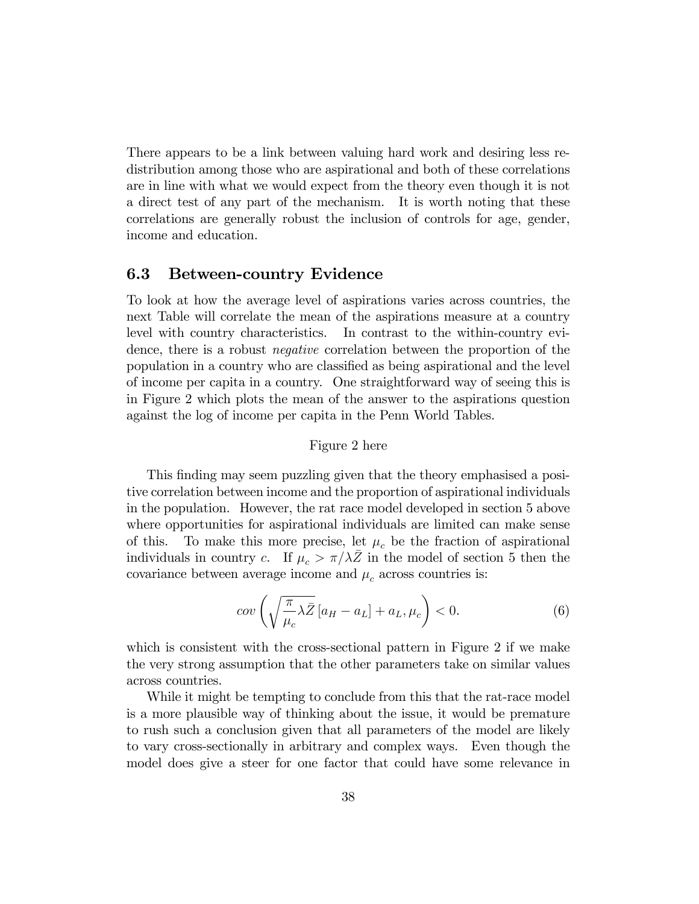There appears to be a link between valuing hard work and desiring less redistribution among those who are aspirational and both of these correlations are in line with what we would expect from the theory even though it is not a direct test of any part of the mechanism. It is worth noting that these correlations are generally robust the inclusion of controls for age, gender, income and education.

#### 6.3 Between-country Evidence

To look at how the average level of aspirations varies across countries, the next Table will correlate the mean of the aspirations measure at a country level with country characteristics. In contrast to the within-country evidence, there is a robust negative correlation between the proportion of the population in a country who are classified as being aspirational and the level of income per capita in a country. One straightforward way of seeing this is in Figure 2 which plots the mean of the answer to the aspirations question against the log of income per capita in the Penn World Tables.

#### Figure 2 here

This finding may seem puzzling given that the theory emphasised a positive correlation between income and the proportion of aspirational individuals in the population. However, the rat race model developed in section 5 above where opportunities for aspirational individuals are limited can make sense of this. To make this more precise, let  $\mu_c$  be the fraction of aspirational individuals in country c. If  $\mu_c > \pi/\lambda Z$  in the model of section 5 then the covariance between average income and  $\mu_c$  across countries is:

$$
cov\left(\sqrt{\frac{\pi}{\mu_c}\lambda\bar{Z}}\left[a_H - a_L\right] + a_L, \mu_c\right) < 0. \tag{6}
$$

which is consistent with the cross-sectional pattern in Figure 2 if we make the very strong assumption that the other parameters take on similar values across countries.

While it might be tempting to conclude from this that the rat-race model is a more plausible way of thinking about the issue, it would be premature to rush such a conclusion given that all parameters of the model are likely to vary cross-sectionally in arbitrary and complex ways. Even though the model does give a steer for one factor that could have some relevance in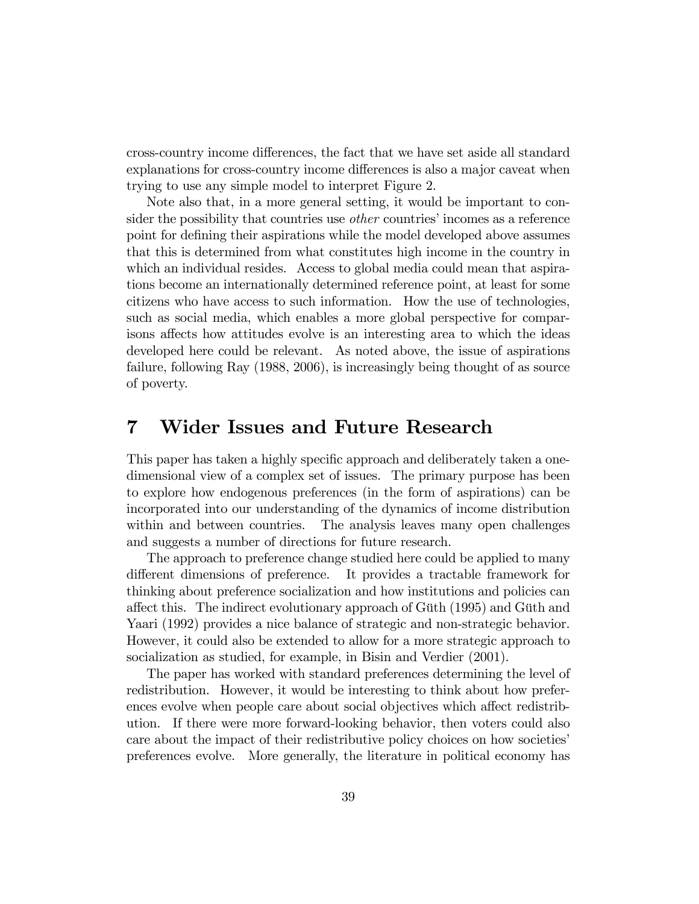cross-country income differences, the fact that we have set aside all standard explanations for cross-country income differences is also a major caveat when trying to use any simple model to interpret Figure 2.

Note also that, in a more general setting, it would be important to consider the possibility that countries use *other* countries' incomes as a reference point for defining their aspirations while the model developed above assumes that this is determined from what constitutes high income in the country in which an individual resides. Access to global media could mean that aspirations become an internationally determined reference point, at least for some citizens who have access to such information. How the use of technologies, such as social media, which enables a more global perspective for comparisons affects how attitudes evolve is an interesting area to which the ideas developed here could be relevant. As noted above, the issue of aspirations failure, following Ray (1988, 2006), is increasingly being thought of as source of poverty.

## 7 Wider Issues and Future Research

This paper has taken a highly specific approach and deliberately taken a onedimensional view of a complex set of issues. The primary purpose has been to explore how endogenous preferences (in the form of aspirations) can be incorporated into our understanding of the dynamics of income distribution within and between countries. The analysis leaves many open challenges and suggests a number of directions for future research.

The approach to preference change studied here could be applied to many different dimensions of preference. It provides a tractable framework for thinking about preference socialization and how institutions and policies can affect this. The indirect evolutionary approach of Güth (1995) and Güth and Yaari (1992) provides a nice balance of strategic and non-strategic behavior. However, it could also be extended to allow for a more strategic approach to socialization as studied, for example, in Bisin and Verdier (2001).

The paper has worked with standard preferences determining the level of redistribution. However, it would be interesting to think about how preferences evolve when people care about social objectives which affect redistribution. If there were more forward-looking behavior, then voters could also care about the impact of their redistributive policy choices on how societies<sup>?</sup> preferences evolve. More generally, the literature in political economy has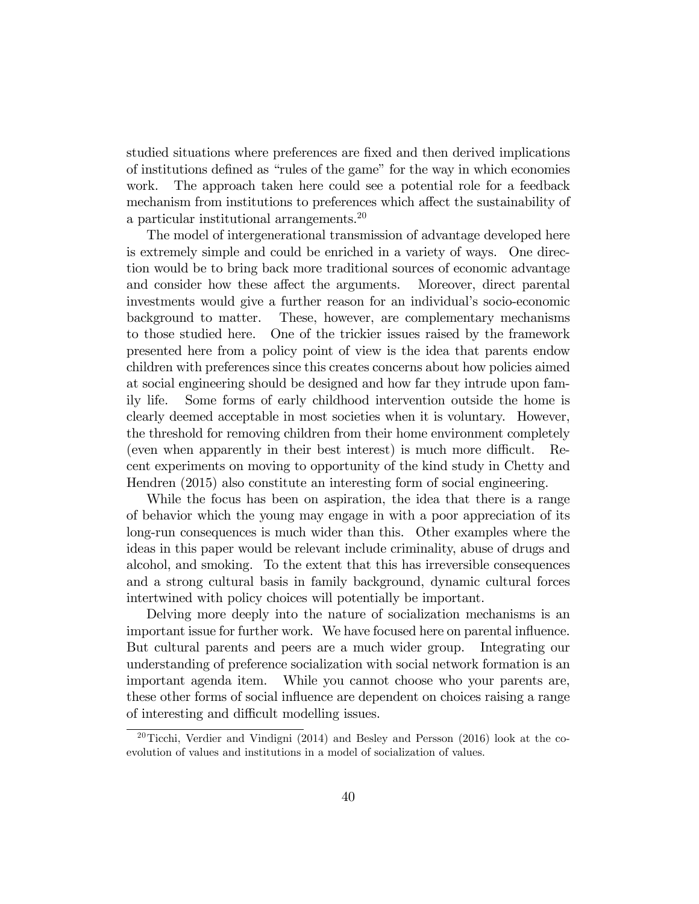studied situations where preferences are Öxed and then derived implications of institutions defined as "rules of the game" for the way in which economies work. The approach taken here could see a potential role for a feedback mechanism from institutions to preferences which affect the sustainability of a particular institutional arrangements.<sup>20</sup>

The model of intergenerational transmission of advantage developed here is extremely simple and could be enriched in a variety of ways. One direction would be to bring back more traditional sources of economic advantage and consider how these affect the arguments. Moreover, direct parental investments would give a further reason for an individual's socio-economic background to matter. These, however, are complementary mechanisms to those studied here. One of the trickier issues raised by the framework presented here from a policy point of view is the idea that parents endow children with preferences since this creates concerns about how policies aimed at social engineering should be designed and how far they intrude upon family life. Some forms of early childhood intervention outside the home is clearly deemed acceptable in most societies when it is voluntary. However, the threshold for removing children from their home environment completely (even when apparently in their best interest) is much more difficult. Recent experiments on moving to opportunity of the kind study in Chetty and Hendren (2015) also constitute an interesting form of social engineering.

While the focus has been on aspiration, the idea that there is a range of behavior which the young may engage in with a poor appreciation of its long-run consequences is much wider than this. Other examples where the ideas in this paper would be relevant include criminality, abuse of drugs and alcohol, and smoking. To the extent that this has irreversible consequences and a strong cultural basis in family background, dynamic cultural forces intertwined with policy choices will potentially be important.

Delving more deeply into the nature of socialization mechanisms is an important issue for further work. We have focused here on parental influence. But cultural parents and peers are a much wider group. Integrating our understanding of preference socialization with social network formation is an important agenda item. While you cannot choose who your parents are, these other forms of social influence are dependent on choices raising a range of interesting and difficult modelling issues.

<sup>&</sup>lt;sup>20</sup>Ticchi, Verdier and Vindigni (2014) and Besley and Persson (2016) look at the coevolution of values and institutions in a model of socialization of values.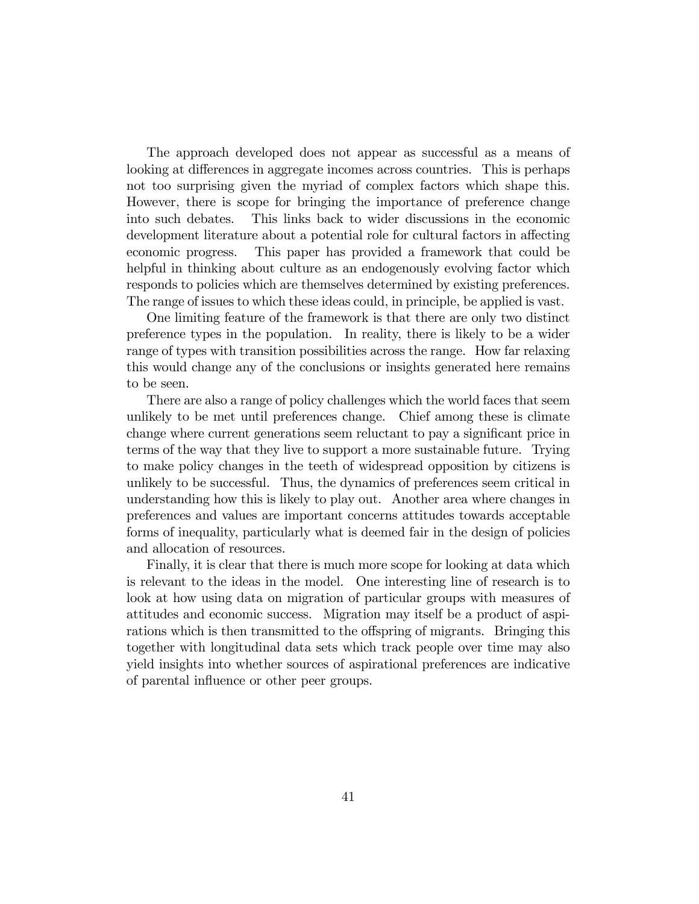The approach developed does not appear as successful as a means of looking at differences in aggregate incomes across countries. This is perhaps not too surprising given the myriad of complex factors which shape this. However, there is scope for bringing the importance of preference change into such debates. This links back to wider discussions in the economic development literature about a potential role for cultural factors in affecting economic progress. This paper has provided a framework that could be helpful in thinking about culture as an endogenously evolving factor which responds to policies which are themselves determined by existing preferences. The range of issues to which these ideas could, in principle, be applied is vast.

One limiting feature of the framework is that there are only two distinct preference types in the population. In reality, there is likely to be a wider range of types with transition possibilities across the range. How far relaxing this would change any of the conclusions or insights generated here remains to be seen.

There are also a range of policy challenges which the world faces that seem unlikely to be met until preferences change. Chief among these is climate change where current generations seem reluctant to pay a significant price in terms of the way that they live to support a more sustainable future. Trying to make policy changes in the teeth of widespread opposition by citizens is unlikely to be successful. Thus, the dynamics of preferences seem critical in understanding how this is likely to play out. Another area where changes in preferences and values are important concerns attitudes towards acceptable forms of inequality, particularly what is deemed fair in the design of policies and allocation of resources.

Finally, it is clear that there is much more scope for looking at data which is relevant to the ideas in the model. One interesting line of research is to look at how using data on migration of particular groups with measures of attitudes and economic success. Migration may itself be a product of aspirations which is then transmitted to the offspring of migrants. Bringing this together with longitudinal data sets which track people over time may also yield insights into whether sources of aspirational preferences are indicative of parental influence or other peer groups.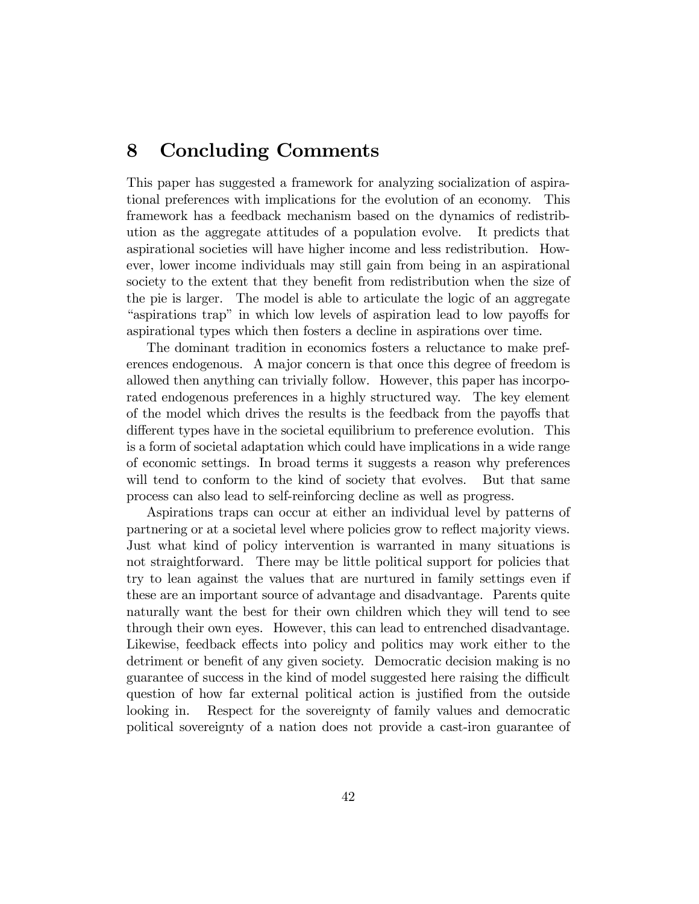## 8 Concluding Comments

This paper has suggested a framework for analyzing socialization of aspirational preferences with implications for the evolution of an economy. This framework has a feedback mechanism based on the dynamics of redistribution as the aggregate attitudes of a population evolve. It predicts that aspirational societies will have higher income and less redistribution. However, lower income individuals may still gain from being in an aspirational society to the extent that they benefit from redistribution when the size of the pie is larger. The model is able to articulate the logic of an aggregate "aspirations trap" in which low levels of aspiration lead to low payoffs for aspirational types which then fosters a decline in aspirations over time.

The dominant tradition in economics fosters a reluctance to make preferences endogenous. A major concern is that once this degree of freedom is allowed then anything can trivially follow. However, this paper has incorporated endogenous preferences in a highly structured way. The key element of the model which drives the results is the feedback from the payoffs that different types have in the societal equilibrium to preference evolution. This is a form of societal adaptation which could have implications in a wide range of economic settings. In broad terms it suggests a reason why preferences will tend to conform to the kind of society that evolves. But that same process can also lead to self-reinforcing decline as well as progress.

Aspirations traps can occur at either an individual level by patterns of partnering or at a societal level where policies grow to reflect majority views. Just what kind of policy intervention is warranted in many situations is not straightforward. There may be little political support for policies that try to lean against the values that are nurtured in family settings even if these are an important source of advantage and disadvantage. Parents quite naturally want the best for their own children which they will tend to see through their own eyes. However, this can lead to entrenched disadvantage. Likewise, feedback effects into policy and politics may work either to the detriment or benefit of any given society. Democratic decision making is no guarantee of success in the kind of model suggested here raising the difficult question of how far external political action is justified from the outside looking in. Respect for the sovereignty of family values and democratic political sovereignty of a nation does not provide a cast-iron guarantee of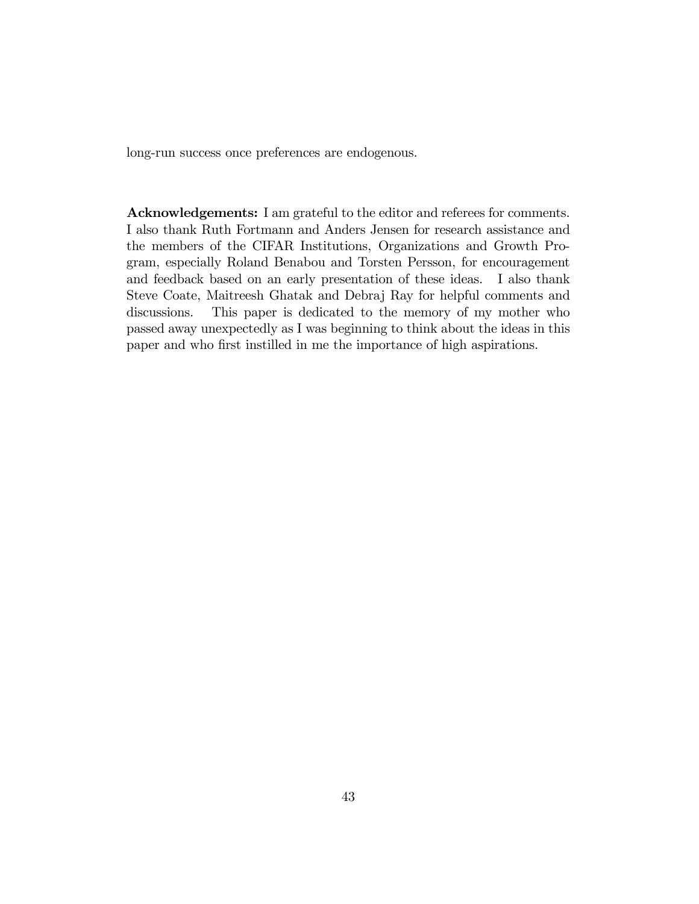long-run success once preferences are endogenous.

Acknowledgements: I am grateful to the editor and referees for comments. I also thank Ruth Fortmann and Anders Jensen for research assistance and the members of the CIFAR Institutions, Organizations and Growth Program, especially Roland Benabou and Torsten Persson, for encouragement and feedback based on an early presentation of these ideas. I also thank Steve Coate, Maitreesh Ghatak and Debraj Ray for helpful comments and discussions. This paper is dedicated to the memory of my mother who passed away unexpectedly as I was beginning to think about the ideas in this paper and who first instilled in me the importance of high aspirations.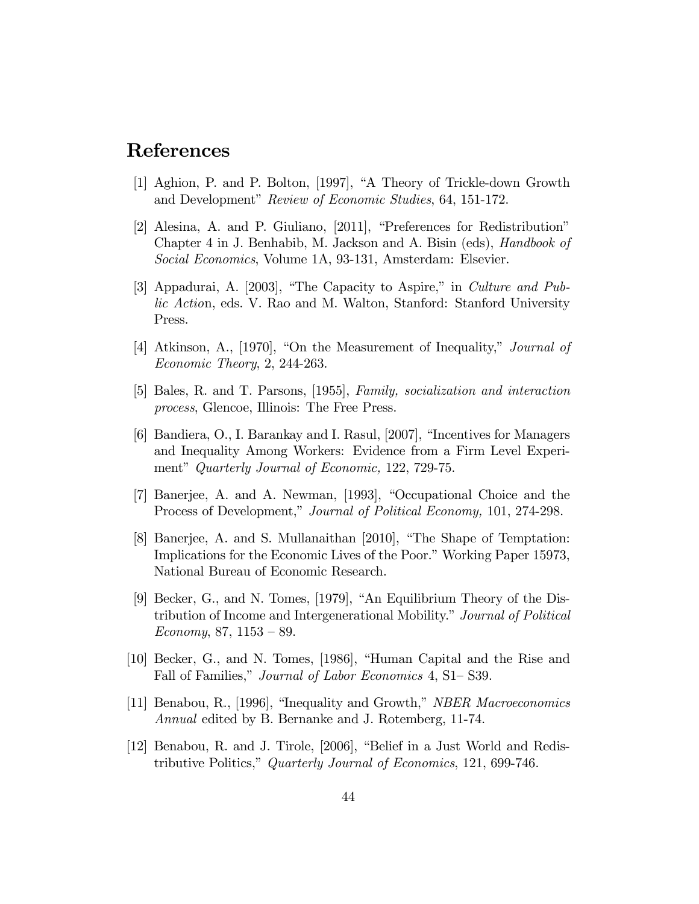## References

- [1] Aghion, P. and P. Bolton, [1997], "A Theory of Trickle-down Growth and Development" Review of Economic Studies, 64, 151-172.
- [2] Alesina, A. and P. Giuliano, [2011], "Preferences for Redistribution" Chapter 4 in J. Benhabib, M. Jackson and A. Bisin (eds), Handbook of Social Economics, Volume 1A, 93-131, Amsterdam: Elsevier.
- [3] Appadurai, A. [2003], "The Capacity to Aspire," in *Culture and Pub*lic Action, eds. V. Rao and M. Walton, Stanford: Stanford University Press.
- [4] Atkinson, A., [1970], "On the Measurement of Inequality," *Journal of* Economic Theory, 2, 244-263.
- [5] Bales, R. and T. Parsons, [1955], Family, socialization and interaction process, Glencoe, Illinois: The Free Press.
- [6] Bandiera, O., I. Barankay and I. Rasul, [2007], "Incentives for Managers and Inequality Among Workers: Evidence from a Firm Level Experiment" Quarterly Journal of Economic, 122, 729-75.
- [7] Banerjee, A. and A. Newman, [1993], "Occupational Choice and the Process of Development," Journal of Political Economy, 101, 274-298.
- [8] Banerjee, A. and S. Mullanaithan [2010], "The Shape of Temptation: Implications for the Economic Lives of the Poor." Working Paper 15973, National Bureau of Economic Research.
- [9] Becker, G., and N. Tomes,  $[1979]$ , "An Equilibrium Theory of the Distribution of Income and Intergenerational Mobility." Journal of Political Economy, 87,  $1153 - 89$ .
- $[10]$  Becker, G., and N. Tomes,  $[1986]$ , "Human Capital and the Rise and Fall of Families," *Journal of Labor Economics* 4, S1–S39.
- [11] Benabou, R., [1996], "Inequality and Growth," NBER Macroeconomics Annual edited by B. Bernanke and J. Rotemberg, 11-74.
- [12] Benabou, R. and J. Tirole, [2006], "Belief in a Just World and Redistributive Politics," Quarterly Journal of Economics, 121, 699-746.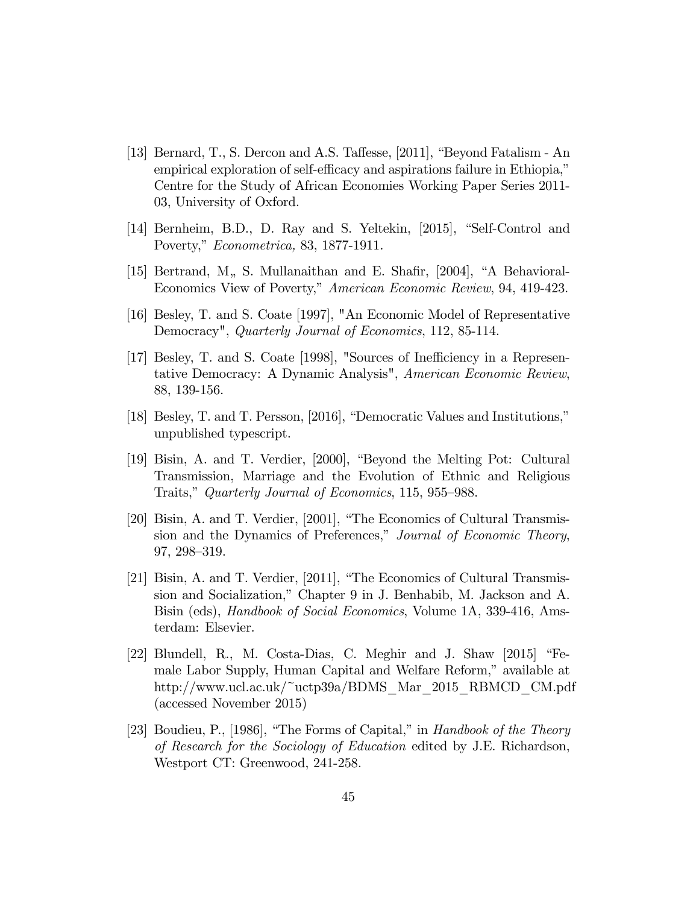- [13] Bernard, T., S. Dercon and A.S. Taffesse, [2011], "Beyond Fatalism An empirical exploration of self-efficacy and aspirations failure in Ethiopia," Centre for the Study of African Economies Working Paper Series 2011- 03, University of Oxford.
- $[14]$  Bernheim, B.D., D. Ray and S. Yeltekin,  $[2015]$ , "Self-Control and Poverty," *Econometrica*, 83, 1877-1911.
- [15] Bertrand, M., S. Mullanaithan and E. Shafir, [2004], "A Behavioral-Economics View of Poverty," American Economic Review, 94, 419-423.
- [16] Besley, T. and S. Coate [1997], "An Economic Model of Representative Democracy", *Quarterly Journal of Economics*, 112, 85-114.
- [17] Besley, T. and S. Coate [1998], "Sources of Inefficiency in a Representative Democracy: A Dynamic Analysis", American Economic Review, 88, 139-156.
- [18] Besley, T. and T. Persson, [2016], "Democratic Values and Institutions," unpublished typescript.
- [19] Bisin, A. and T. Verdier, [2000], "Beyond the Melting Pot: Cultural Transmission, Marriage and the Evolution of Ethnic and Religious Traits," Quarterly Journal of Economics, 115, 955–988.
- [20] Bisin, A. and T. Verdier,  $[2001]$ , "The Economics of Cultural Transmission and the Dynamics of Preferences," Journal of Economic Theory, 97, 298–319.
- [21] Bisin, A. and T. Verdier, [2011], "The Economics of Cultural Transmission and Socialization," Chapter 9 in J. Benhabib, M. Jackson and A. Bisin (eds), Handbook of Social Economics, Volume 1A, 339-416, Amsterdam: Elsevier.
- [22] Blundell, R., M. Costa-Dias, C. Meghir and J. Shaw  $[2015]$  "Female Labor Supply, Human Capital and Welfare Reform," available at http://www.ucl.ac.uk/~uctp39a/BDMS\_Mar\_2015\_RBMCD\_CM.pdf (accessed November 2015)
- [23] Boudieu, P., [1986], "The Forms of Capital," in Handbook of the Theory of Research for the Sociology of Education edited by J.E. Richardson, Westport CT: Greenwood, 241-258.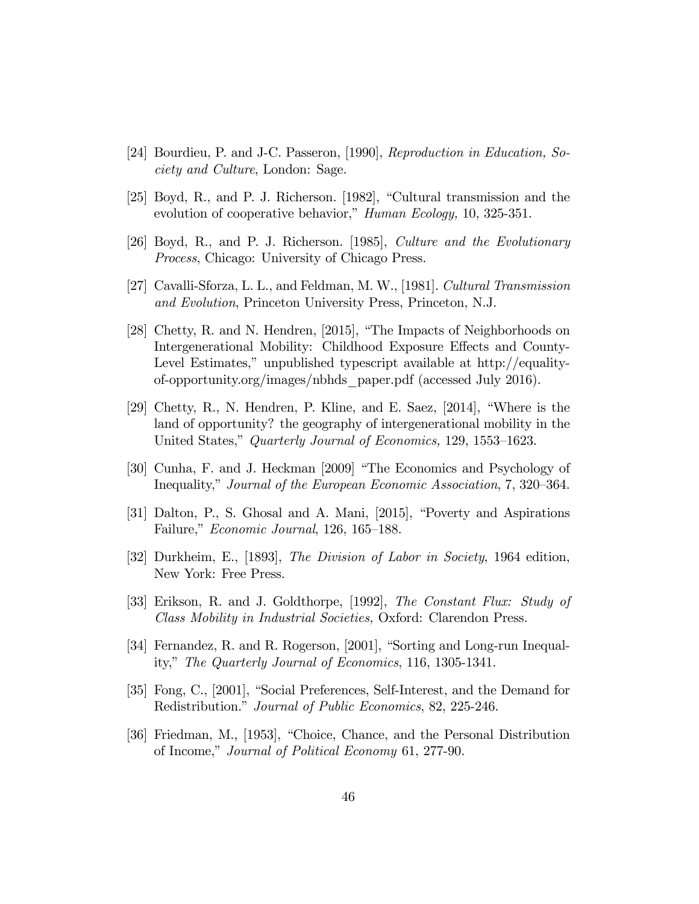- [24] Bourdieu, P. and J-C. Passeron, [1990], Reproduction in Education, Society and Culture, London: Sage.
- [25] Boyd, R., and P. J. Richerson. [1982], "Cultural transmission and the evolution of cooperative behavior,"  $Human Ecology$ , 10, 325-351.
- [26] Boyd, R., and P. J. Richerson. [1985], Culture and the Evolutionary Process, Chicago: University of Chicago Press.
- [27] Cavalli-Sforza, L. L., and Feldman, M. W., [1981]. Cultural Transmission and Evolution, Princeton University Press, Princeton, N.J.
- [28] Chetty, R. and N. Hendren,  $[2015]$ , "The Impacts of Neighborhoods on Intergenerational Mobility: Childhood Exposure Effects and County-Level Estimates," unpublished typescript available at http://equalityof-opportunity.org/images/nbhds\_paper.pdf (accessed July 2016).
- [29] Chetty, R., N. Hendren, P. Kline, and E. Saez,  $[2014]$ , "Where is the land of opportunity? the geography of intergenerational mobility in the United States," Quarterly Journal of Economics, 129, 1553–1623.
- [30] Cunha, F. and J. Heckman [2009] "The Economics and Psychology of Inequality," Journal of the European Economic Association, 7, 320–364.
- [31] Dalton, P., S. Ghosal and A. Mani, [2015], "Poverty and Aspirations Failure," Economic Journal, 126, 165–188.
- [32] Durkheim, E., [1893], The Division of Labor in Society, 1964 edition, New York: Free Press.
- [33] Erikson, R. and J. Goldthorpe, [1992], The Constant Flux: Study of Class Mobility in Industrial Societies, Oxford: Clarendon Press.
- [34] Fernandez, R. and R. Rogerson, [2001], "Sorting and Long-run Inequality," The Quarterly Journal of Economics, 116, 1305-1341.
- [35] Fong, C., [2001], "Social Preferences, Self-Interest, and the Demand for Redistribution." Journal of Public Economics, 82, 225-246.
- [36] Friedman, M., [1953], "Choice, Chance, and the Personal Distribution of Income," Journal of Political Economy 61, 277-90.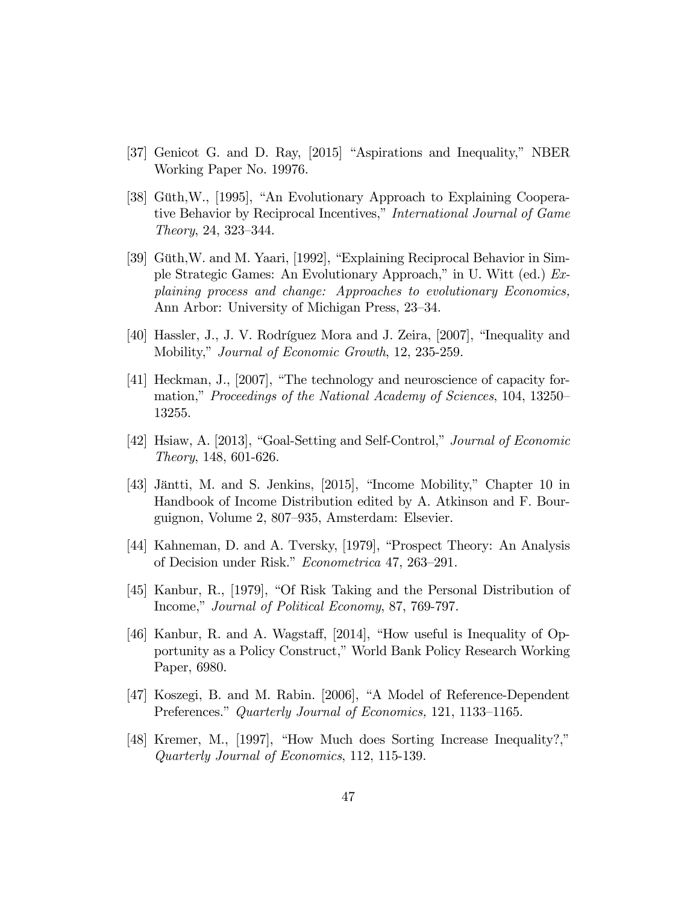- [37] Genicot G. and D. Ray, [2015] "Aspirations and Inequality," NBER Working Paper No. 19976.
- [38] Güth,W., [1995], "An Evolutionary Approach to Explaining Cooperative Behavior by Reciprocal Incentives," International Journal of Game  $Theory, 24, 323–344.$
- [39] Güth,W. and M. Yaari, [1992], "Explaining Reciprocal Behavior in Simple Strategic Games: An Evolutionary Approach," in U. Witt (ed.)  $Ex$ plaining process and change: Approaches to evolutionary Economics, Ann Arbor: University of Michigan Press, 23–34.
- [40] Hassler, J., J. V. Rodríguez Mora and J. Zeira,  $[2007]$ , "Inequality and Mobility," Journal of Economic Growth, 12, 235-259.
- [41] Heckman, J., [2007], "The technology and neuroscience of capacity formation," Proceedings of the National Academy of Sciences,  $104, 13250$ 13255.
- [42] Hsiaw, A. [2013], "Goal-Setting and Self-Control," *Journal of Economic* Theory, 148, 601-626.
- [43] Jäntti, M. and S. Jenkins, [2015], "Income Mobility," Chapter 10 in Handbook of Income Distribution edited by A. Atkinson and F. Bourguignon, Volume 2, 807–935, Amsterdam: Elsevier.
- [44] Kahneman, D. and A. Tversky, [1979], "Prospect Theory: An Analysis of Decision under Risk." Econometrica 47, 263–291.
- [45] Kanbur, R., [1979], "Of Risk Taking and the Personal Distribution of Income," Journal of Political Economy, 87, 769-797.
- [46] Kanbur, R. and A. Wagstaff, [2014], "How useful is Inequality of Opportunity as a Policy Construct," World Bank Policy Research Working Paper, 6980.
- [47] Koszegi, B. and M. Rabin. [2006], "A Model of Reference-Dependent Preferences." Quarterly Journal of Economics, 121, 1133–1165.
- $[48]$  Kremer, M.,  $[1997]$ , "How Much does Sorting Increase Inequality?," Quarterly Journal of Economics, 112, 115-139.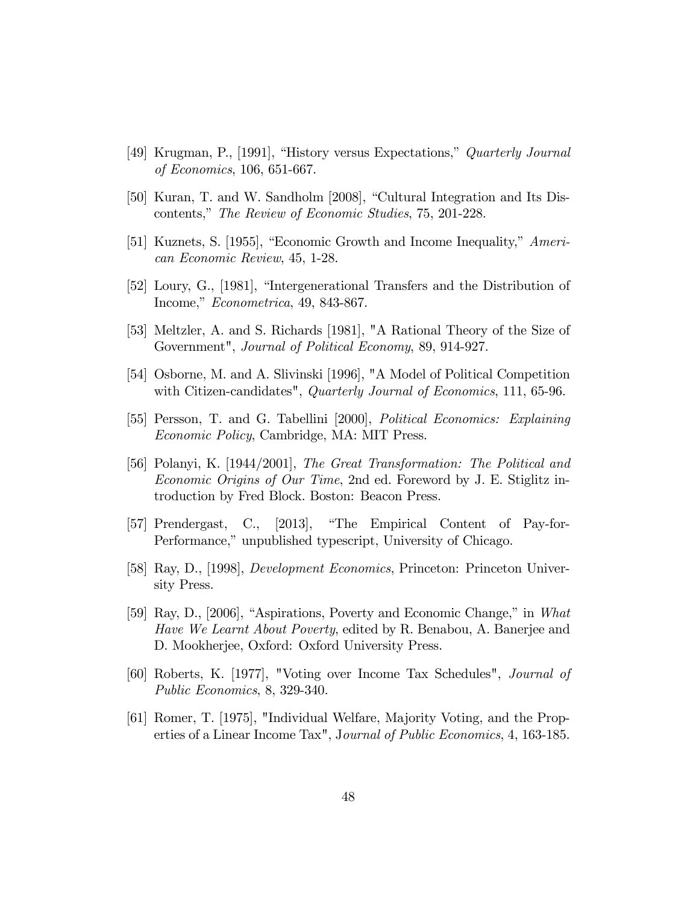- [49] Krugman, P., [1991], "History versus Expectations," Quarterly Journal of Economics, 106, 651-667.
- [50] Kuran, T. and W. Sandholm [2008], "Cultural Integration and Its Discontents," The Review of Economic Studies, 75, 201-228.
- [51] Kuznets, S. [1955], "Economic Growth and Income Inequality," American Economic Review, 45, 1-28.
- [52] Loury, G., [1981], "Intergenerational Transfers and the Distribution of Income," Econometrica, 49, 843-867.
- [53] Meltzler, A. and S. Richards [1981], "A Rational Theory of the Size of Government", Journal of Political Economy, 89, 914-927.
- [54] Osborne, M. and A. Slivinski [1996], "A Model of Political Competition with Citizen-candidates", *Quarterly Journal of Economics*, 111, 65-96.
- [55] Persson, T. and G. Tabellini [2000], Political Economics: Explaining Economic Policy, Cambridge, MA: MIT Press.
- [56] Polanyi, K. [1944/2001], The Great Transformation: The Political and Economic Origins of Our Time, 2nd ed. Foreword by J. E. Stiglitz introduction by Fred Block. Boston: Beacon Press.
- [57] Prendergast, C., [2013], "The Empirical Content of Pay-for-Performance," unpublished typescript, University of Chicago.
- [58] Ray, D., [1998], Development Economics, Princeton: Princeton University Press.
- [59] Ray, D., [2006], "Aspirations, Poverty and Economic Change," in What Have We Learnt About Poverty, edited by R. Benabou, A. Banerjee and D. Mookherjee, Oxford: Oxford University Press.
- [60] Roberts, K. [1977], "Voting over Income Tax Schedules", Journal of Public Economics, 8, 329-340.
- [61] Romer, T. [1975], "Individual Welfare, Majority Voting, and the Properties of a Linear Income Tax", Journal of Public Economics, 4, 163-185.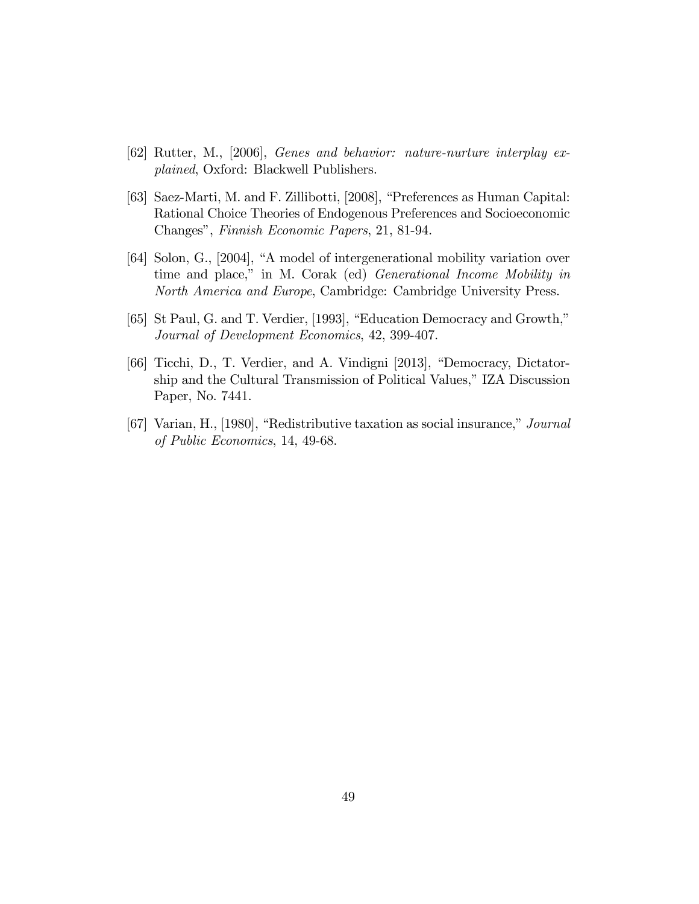- [62] Rutter, M., [2006], Genes and behavior: nature-nurture interplay explained, Oxford: Blackwell Publishers.
- [63] Saez-Marti, M. and F. Zillibotti, [2008], "Preferences as Human Capital: Rational Choice Theories of Endogenous Preferences and Socioeconomic Changesî, Finnish Economic Papers, 21, 81-94.
- [64] Solon, G., [2004], "A model of intergenerational mobility variation over time and place," in M. Corak (ed) *Generational Income Mobility in* North America and Europe, Cambridge: Cambridge University Press.
- [65] St Paul, G. and T. Verdier, [1993], "Education Democracy and Growth," Journal of Development Economics, 42, 399-407.
- [66] Ticchi, D., T. Verdier, and A. Vindigni [2013], "Democracy, Dictatorship and the Cultural Transmission of Political Values," IZA Discussion Paper, No. 7441.
- $[67]$  Varian, H.,  $[1980]$ , "Redistributive taxation as social insurance," Journal of Public Economics, 14, 49-68.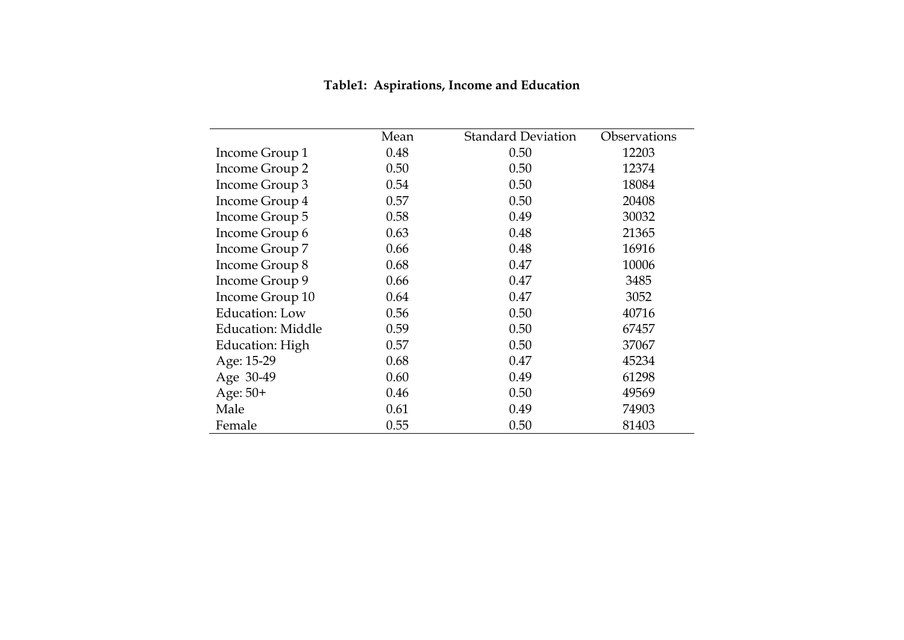|                   | Mean | <b>Standard Deviation</b> |                            |
|-------------------|------|---------------------------|----------------------------|
|                   |      |                           | <i><b>Observations</b></i> |
| Income Group 1    | 0.48 | 0.50                      | 12203                      |
| Income Group 2    | 0.50 | 0.50                      | 12374                      |
| Income Group 3    | 0.54 | 0.50                      | 18084                      |
| Income Group 4    | 0.57 | 0.50                      | 20408                      |
| Income Group 5    | 0.58 | 0.49                      | 30032                      |
| Income Group 6    | 0.63 | 0.48                      | 21365                      |
| Income Group 7    | 0.66 | 0.48                      | 16916                      |
| Income Group 8    | 0.68 | 0.47                      | 10006                      |
| Income Group 9    | 0.66 | 0.47                      | 3485                       |
| Income Group 10   | 0.64 | 0.47                      | 3052                       |
| Education: Low    | 0.56 | 0.50                      | 40716                      |
| Education: Middle | 0.59 | 0.50                      | 67457                      |
| Education: High   | 0.57 | 0.50                      | 37067                      |
| Age: 15-29        | 0.68 | 0.47                      | 45234                      |
| Age 30-49         | 0.60 | 0.49                      | 61298                      |
| Age: $50+$        | 0.46 | 0.50                      | 49569                      |
| Male              | 0.61 | 0.49                      | 74903                      |
| Female            | 0.55 | 0.50                      | 81403                      |

**Table1: Aspirations, Income and Education**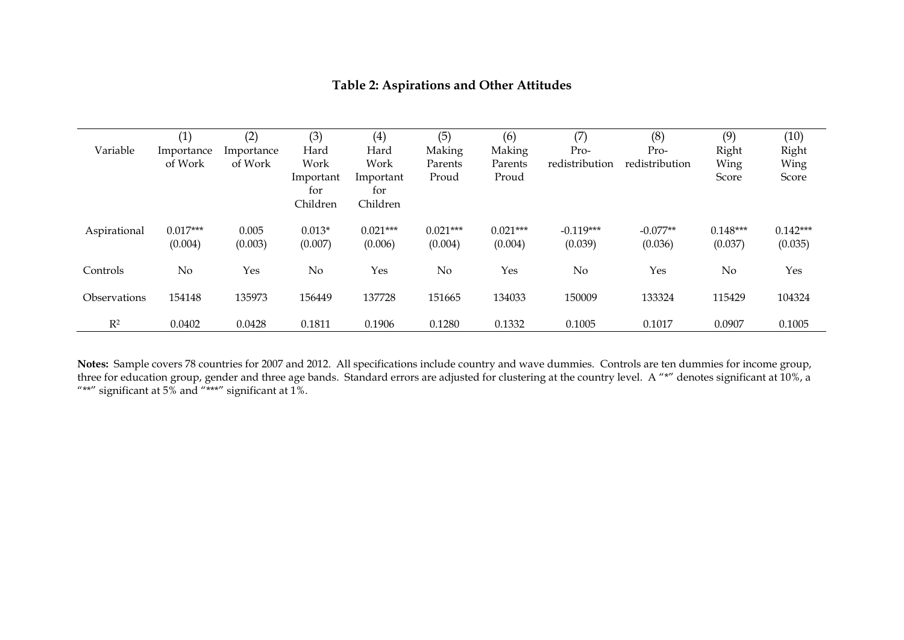## **Table 2: Aspirations and Other Attitudes**

|              | (1)        | (2)        | (3)       | (4)        | (5)        | (6)        | (7)            | (8)            | (9)        | (10)       |
|--------------|------------|------------|-----------|------------|------------|------------|----------------|----------------|------------|------------|
| Variable     | Importance | Importance | Hard      | Hard       | Making     | Making     | Pro-           | Pro-           | Right      | Right      |
|              | of Work    | of Work    | Work      | Work       | Parents    | Parents    | redistribution | redistribution | Wing       | Wing       |
|              |            |            | Important | Important  | Proud      | Proud      |                |                | Score      | Score      |
|              |            |            | for       | for        |            |            |                |                |            |            |
|              |            |            | Children  | Children   |            |            |                |                |            |            |
|              |            |            |           |            |            |            |                |                |            |            |
| Aspirational | $0.017***$ | 0.005      | $0.013*$  | $0.021***$ | $0.021***$ | $0.021***$ | $-0.119***$    | $-0.077**$     | $0.148***$ | $0.142***$ |
|              | (0.004)    | (0.003)    | (0.007)   | (0.006)    | (0.004)    | (0.004)    | (0.039)        | (0.036)        | (0.037)    | (0.035)    |
|              |            |            |           |            |            |            |                |                |            |            |
| Controls     | No         | Yes        | No        | Yes        | No         | Yes        | No             | Yes            | No         | Yes        |
|              |            |            |           | 137728     |            |            |                |                |            |            |
| Observations | 154148     | 135973     | 156449    |            | 151665     | 134033     | 150009         | 133324         | 115429     | 104324     |
| $R^2$        | 0.0402     | 0.0428     | 0.1811    | 0.1906     | 0.1280     | 0.1332     | 0.1005         | 0.1017         | 0.0907     | 0.1005     |
|              |            |            |           |            |            |            |                |                |            |            |

**Notes:** Sample covers 78 countries for 2007 and 2012. All specifications include country and wave dummies. Controls are ten dummies for income group, three for education group, gender and three age bands. Standard errors are adjusted for clustering at the country level. A "\*" denotes significant at 10%, a "\*\*" significant at 5% and "\*\*\*" significant at 1%.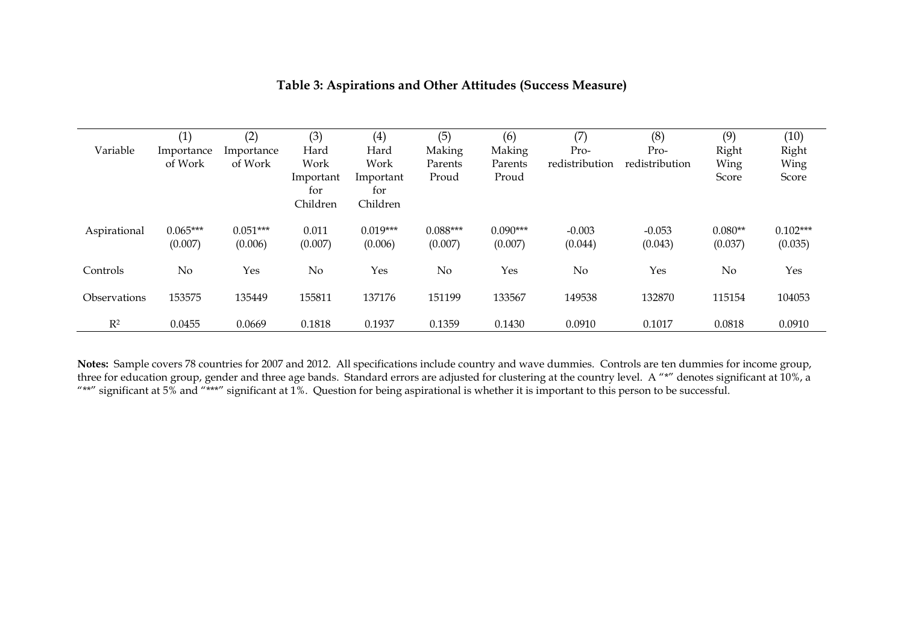## **Table 3: Aspirations and Other Attitudes (Success Measure)**

|              | (1)        | (2)        | (3)              | (4)              | (5)        | (6)        | (7)            | (8)            | (9)       | (10)       |
|--------------|------------|------------|------------------|------------------|------------|------------|----------------|----------------|-----------|------------|
| Variable     | Importance | Importance | Hard             | Hard             | Making     | Making     | Pro-           | Pro-           | Right     | Right      |
|              | of Work    | of Work    | Work             | Work             | Parents    | Parents    | redistribution | redistribution | Wing      | Wing       |
|              |            |            | Important<br>for | Important<br>for | Proud      | Proud      |                |                | Score     | Score      |
|              |            |            | Children         | Children         |            |            |                |                |           |            |
| Aspirational | $0.065***$ | $0.051***$ | 0.011            | $0.019***$       | $0.088***$ | $0.090***$ | $-0.003$       | $-0.053$       | $0.080**$ | $0.102***$ |
|              | (0.007)    | (0.006)    | (0.007)          | (0.006)          | (0.007)    | (0.007)    | (0.044)        | (0.043)        | (0.037)   | (0.035)    |
| Controls     | $\rm No$   | Yes        | No               | Yes              | $\rm No$   | Yes        | No             | Yes            | No        | Yes        |
| Observations | 153575     | 135449     | 155811           | 137176           | 151199     | 133567     | 149538         | 132870         | 115154    | 104053     |
| $R^2$        | 0.0455     | 0.0669     | 0.1818           | 0.1937           | 0.1359     | 0.1430     | 0.0910         | 0.1017         | 0.0818    | 0.0910     |

**Notes:** Sample covers 78 countries for 2007 and 2012. All specifications include country and wave dummies. Controls are ten dummies for income group, three for education group, gender and three age bands. Standard errors are adjusted for clustering at the country level. A "\*" denotes significant at 10%, a "\*\*" significant at 5% and "\*\*\*" significant at 1%. Question for being aspirational is whether it is important to this person to be successful.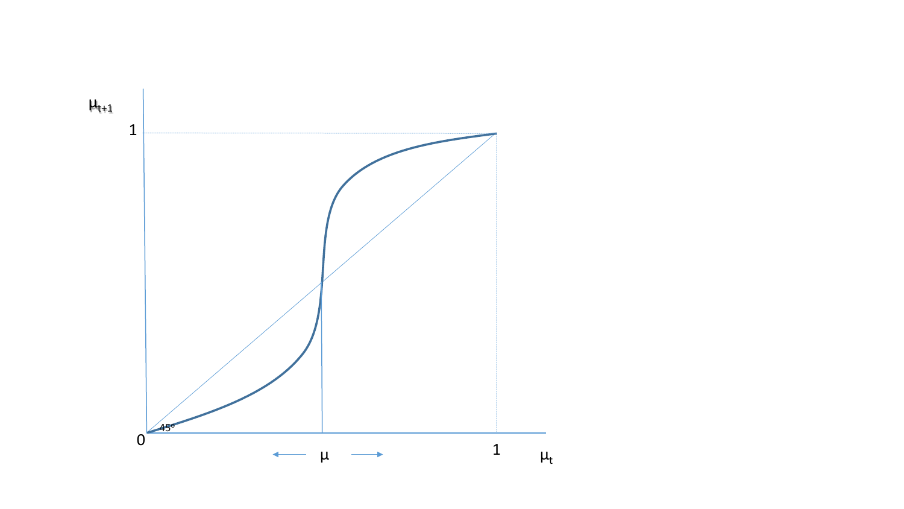